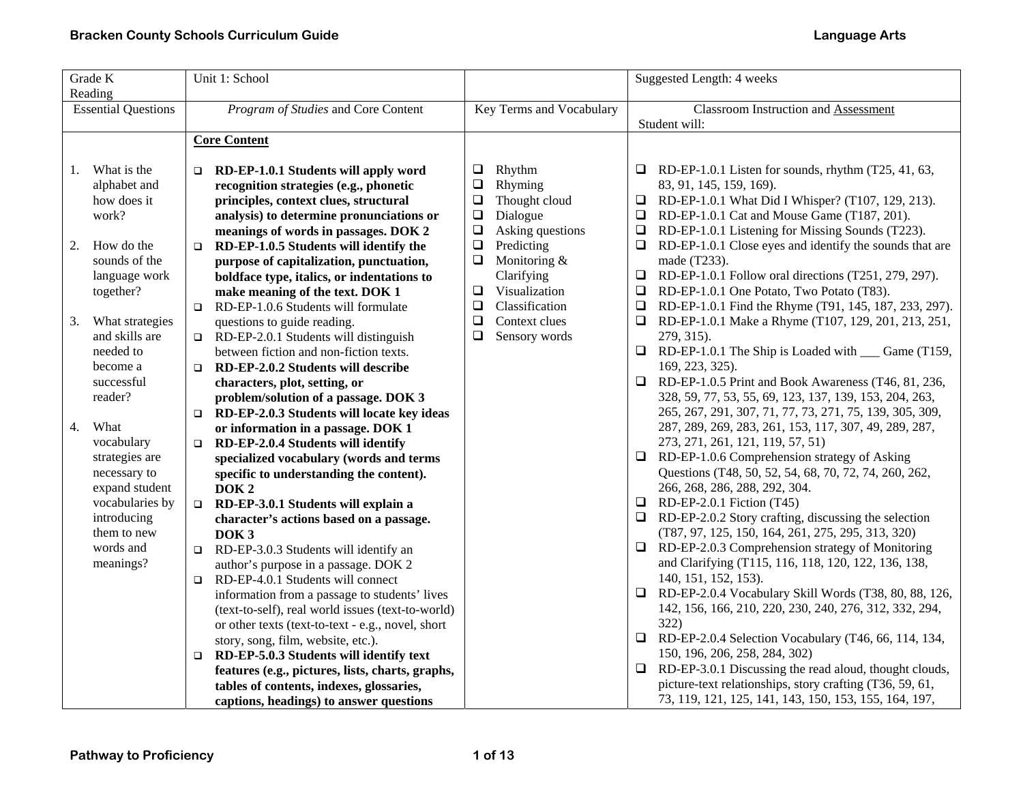| Grade K<br>Reading         |                 | Unit 1: School                                       |                          |                  |                                             | Suggested Length: 4 weeks                                     |
|----------------------------|-----------------|------------------------------------------------------|--------------------------|------------------|---------------------------------------------|---------------------------------------------------------------|
| <b>Essential Questions</b> |                 | Program of Studies and Core Content                  | Key Terms and Vocabulary |                  | <b>Classroom Instruction and Assessment</b> |                                                               |
|                            |                 |                                                      |                          |                  |                                             | Student will:                                                 |
|                            |                 | <b>Core Content</b>                                  |                          |                  |                                             |                                                               |
|                            |                 |                                                      |                          |                  |                                             |                                                               |
| 1.                         | What is the     | $\Box$ RD-EP-1.0.1 Students will apply word          | $\Box$                   | Rhythm           |                                             | $\Box$ RD-EP-1.0.1 Listen for sounds, rhythm (T25, 41, 63,    |
|                            | alphabet and    | recognition strategies (e.g., phonetic               | $\Box$                   | Rhyming          |                                             | 83, 91, 145, 159, 169).                                       |
|                            | how does it     | principles, context clues, structural                | $\Box$                   | Thought cloud    |                                             | $\Box$ RD-EP-1.0.1 What Did I Whisper? (T107, 129, 213).      |
|                            | work?           | analysis) to determine pronunciations or             | $\Box$                   | Dialogue         |                                             | RD-EP-1.0.1 Cat and Mouse Game (T187, 201).                   |
|                            |                 | meanings of words in passages. DOK 2                 | $\Box$                   | Asking questions | □                                           | RD-EP-1.0.1 Listening for Missing Sounds (T223).              |
| 2.                         | How do the      | RD-EP-1.0.5 Students will identify the<br>$\Box$     | $\Box$                   | Predicting       |                                             | RD-EP-1.0.1 Close eyes and identify the sounds that are       |
|                            | sounds of the   | purpose of capitalization, punctuation,              | $\Box$                   | Monitoring &     |                                             | made (T233).                                                  |
|                            | language work   | boldface type, italics, or indentations to           |                          | Clarifying       |                                             | $\Box$ RD-EP-1.0.1 Follow oral directions (T251, 279, 297).   |
|                            | together?       | make meaning of the text. DOK 1                      | $\Box$                   | Visualization    | ⊔                                           | RD-EP-1.0.1 One Potato, Two Potato (T83).                     |
|                            |                 | RD-EP-1.0.6 Students will formulate<br>$\Box$        | $\Box$                   | Classification   |                                             | □ RD-EP-1.0.1 Find the Rhyme (T91, 145, 187, 233, 297).       |
| 3.                         | What strategies | questions to guide reading.                          | $\Box$                   | Context clues    | $\Box$                                      | RD-EP-1.0.1 Make a Rhyme (T107, 129, 201, 213, 251,           |
|                            | and skills are  | RD-EP-2.0.1 Students will distinguish<br>$\Box$      | $\Box$                   | Sensory words    |                                             | 279, 315).                                                    |
|                            | needed to       | between fiction and non-fiction texts.               |                          |                  |                                             | $\Box$ RD-EP-1.0.1 The Ship is Loaded with $\Box$ Game (T159, |
|                            | become a        | RD-EP-2.0.2 Students will describe<br>$\Box$         |                          |                  |                                             | 169, 223, 325).                                               |
|                            | successful      | characters, plot, setting, or                        |                          |                  |                                             | $\Box$ RD-EP-1.0.5 Print and Book Awareness (T46, 81, 236,    |
|                            | reader?         | problem/solution of a passage. DOK 3                 |                          |                  |                                             | 328, 59, 77, 53, 55, 69, 123, 137, 139, 153, 204, 263,        |
|                            |                 | RD-EP-2.0.3 Students will locate key ideas<br>$\Box$ |                          |                  |                                             | 265, 267, 291, 307, 71, 77, 73, 271, 75, 139, 305, 309,       |
| 4.                         | What            | or information in a passage. DOK 1                   |                          |                  |                                             | 287, 289, 269, 283, 261, 153, 117, 307, 49, 289, 287,         |
|                            | vocabulary      | RD-EP-2.0.4 Students will identify<br>$\Box$         |                          |                  |                                             | 273, 271, 261, 121, 119, 57, 51)                              |
|                            | strategies are  | specialized vocabulary (words and terms              |                          |                  |                                             | $\Box$ RD-EP-1.0.6 Comprehension strategy of Asking           |
|                            | necessary to    | specific to understanding the content).              |                          |                  |                                             | Questions (T48, 50, 52, 54, 68, 70, 72, 74, 260, 262,         |
|                            | expand student  | DOK <sub>2</sub>                                     |                          |                  |                                             | 266, 268, 286, 288, 292, 304.                                 |
|                            | vocabularies by | $\Box$<br>RD-EP-3.0.1 Students will explain a        |                          |                  |                                             | $\Box$ RD-EP-2.0.1 Fiction (T45)                              |
|                            | introducing     | character's actions based on a passage.              |                          |                  |                                             | $\Box$ RD-EP-2.0.2 Story crafting, discussing the selection   |
|                            | them to new     | DOK <sub>3</sub>                                     |                          |                  |                                             | (T87, 97, 125, 150, 164, 261, 275, 295, 313, 320)             |
|                            | words and       | RD-EP-3.0.3 Students will identify an<br>$\Box$      |                          |                  |                                             | RD-EP-2.0.3 Comprehension strategy of Monitoring              |
|                            | meanings?       | author's purpose in a passage. DOK 2                 |                          |                  |                                             | and Clarifying (T115, 116, 118, 120, 122, 136, 138,           |
|                            |                 | RD-EP-4.0.1 Students will connect<br>$\Box$          |                          |                  |                                             | 140, 151, 152, 153).                                          |
|                            |                 | information from a passage to students' lives        |                          |                  |                                             | $\Box$ RD-EP-2.0.4 Vocabulary Skill Words (T38, 80, 88, 126,  |
|                            |                 | (text-to-self), real world issues (text-to-world)    |                          |                  |                                             | 142, 156, 166, 210, 220, 230, 240, 276, 312, 332, 294,        |
|                            |                 | or other texts (text-to-text - e.g., novel, short    |                          |                  |                                             | 322)                                                          |
|                            |                 | story, song, film, website, etc.).                   |                          |                  |                                             | $\Box$ RD-EP-2.0.4 Selection Vocabulary (T46, 66, 114, 134,   |
|                            |                 | RD-EP-5.0.3 Students will identify text<br>$\Box$    |                          |                  |                                             | 150, 196, 206, 258, 284, 302)                                 |
|                            |                 | features (e.g., pictures, lists, charts, graphs,     |                          |                  |                                             | $\Box$ RD-EP-3.0.1 Discussing the read aloud, thought clouds, |
|                            |                 | tables of contents, indexes, glossaries,             |                          |                  |                                             | picture-text relationships, story crafting (T36, 59, 61,      |
|                            |                 | captions, headings) to answer questions              |                          |                  |                                             | 73, 119, 121, 125, 141, 143, 150, 153, 155, 164, 197,         |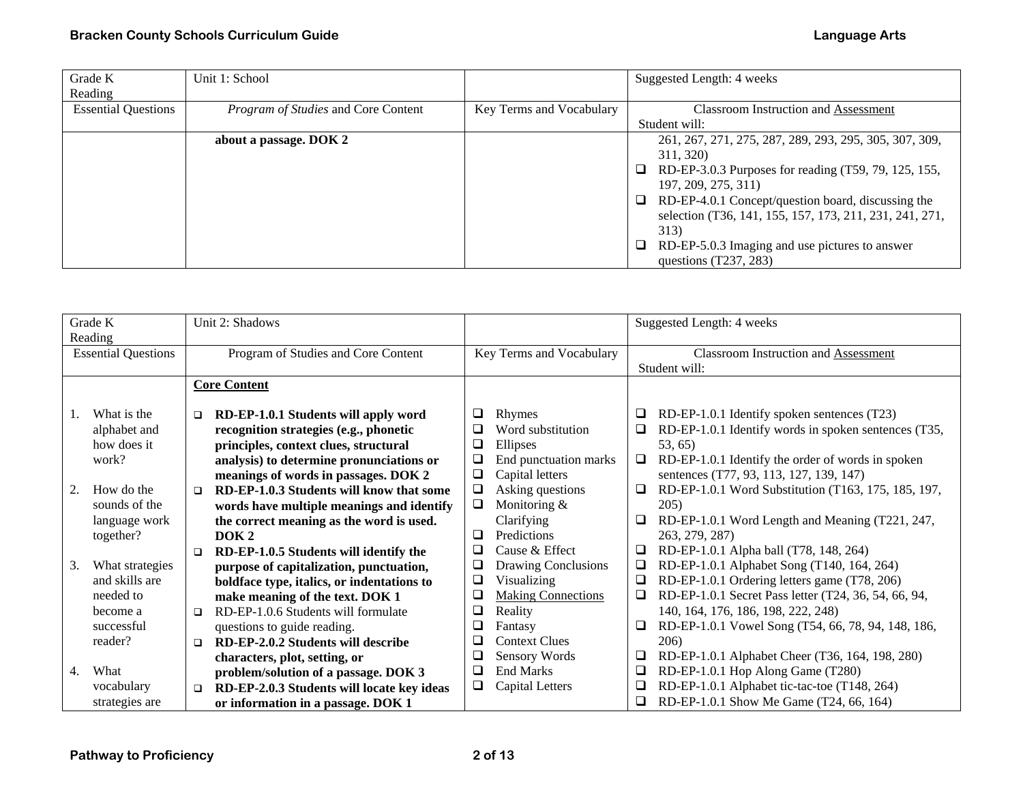| Grade K                    | Unit 1: School                      |                          | Suggested Length: 4 weeks                                      |
|----------------------------|-------------------------------------|--------------------------|----------------------------------------------------------------|
| Reading                    |                                     |                          |                                                                |
| <b>Essential Questions</b> | Program of Studies and Core Content | Key Terms and Vocabulary | Classroom Instruction and Assessment                           |
|                            |                                     |                          | Student will:                                                  |
|                            | about a passage. DOK 2              |                          | 261, 267, 271, 275, 287, 289, 293, 295, 305, 307, 309,         |
|                            |                                     |                          | 311, 320)                                                      |
|                            |                                     |                          | RD-EP-3.0.3 Purposes for reading (T59, 79, 125, 155,<br>$\Box$ |
|                            |                                     |                          | 197, 209, 275, 311)                                            |
|                            |                                     |                          | RD-EP-4.0.1 Concept/question board, discussing the<br>$\Box$   |
|                            |                                     |                          | selection (T36, 141, 155, 157, 173, 211, 231, 241, 271,        |
|                            |                                     |                          | 313)                                                           |
|                            |                                     |                          | RD-EP-5.0.3 Imaging and use pictures to answer<br>$\Box$       |
|                            |                                     |                          | questions $(T237, 283)$                                        |

| Grade K<br>Reading |                            |                                                                 | Unit 2: Shadows                            |        |                                             |        | Suggested Length: 4 weeks                            |
|--------------------|----------------------------|-----------------------------------------------------------------|--------------------------------------------|--------|---------------------------------------------|--------|------------------------------------------------------|
|                    | <b>Essential Questions</b> | Program of Studies and Core Content<br>Key Terms and Vocabulary |                                            |        | <b>Classroom Instruction and Assessment</b> |        |                                                      |
|                    |                            |                                                                 |                                            |        |                                             |        | Student will:                                        |
|                    |                            |                                                                 | <b>Core Content</b>                        |        |                                             |        |                                                      |
|                    |                            |                                                                 |                                            |        |                                             |        |                                                      |
|                    | What is the                | $\Box$                                                          | RD-EP-1.0.1 Students will apply word       | ❏      | Rhymes                                      | □      | RD-EP-1.0.1 Identify spoken sentences (T23)          |
|                    | alphabet and               |                                                                 | recognition strategies (e.g., phonetic     | ❏      | Word substitution                           | $\Box$ | RD-EP-1.0.1 Identify words in spoken sentences (T35, |
|                    | how does it                |                                                                 | principles, context clues, structural      | ❏      | Ellipses                                    |        | 53, 65)                                              |
|                    | work?                      |                                                                 | analysis) to determine pronunciations or   | $\Box$ | End punctuation marks                       | $\Box$ | RD-EP-1.0.1 Identify the order of words in spoken    |
|                    |                            |                                                                 | meanings of words in passages. DOK 2       | $\Box$ | Capital letters                             |        | sentences (T77, 93, 113, 127, 139, 147)              |
| 2.                 | How do the                 | $\Box$                                                          | RD-EP-1.0.3 Students will know that some   | $\Box$ | Asking questions                            | $\Box$ | RD-EP-1.0.1 Word Substitution (T163, 175, 185, 197,  |
|                    | sounds of the              |                                                                 | words have multiple meanings and identify  | $\Box$ | Monitoring $&$                              |        | 205)                                                 |
|                    | language work              |                                                                 | the correct meaning as the word is used.   |        | Clarifying                                  | □      | RD-EP-1.0.1 Word Length and Meaning (T221, 247,      |
|                    | together?                  |                                                                 | DOK <sub>2</sub>                           | ◘      | Predictions                                 |        | 263, 279, 287)                                       |
|                    |                            | $\Box$                                                          | RD-EP-1.0.5 Students will identify the     | ❏      | Cause & Effect                              | □      | RD-EP-1.0.1 Alpha ball (T78, 148, 264)               |
| 3.                 | What strategies            |                                                                 | purpose of capitalization, punctuation,    | $\Box$ | <b>Drawing Conclusions</b>                  | Q      | RD-EP-1.0.1 Alphabet Song (T140, 164, 264)           |
|                    | and skills are             |                                                                 | boldface type, italics, or indentations to | ❏      | Visualizing                                 | ❏      | RD-EP-1.0.1 Ordering letters game (T78, 206)         |
|                    | needed to                  |                                                                 | make meaning of the text. DOK 1            | $\Box$ | <b>Making Connections</b>                   | Q      | RD-EP-1.0.1 Secret Pass letter (T24, 36, 54, 66, 94, |
|                    | become a                   | $\Box$                                                          | RD-EP-1.0.6 Students will formulate        | ❏      | Reality                                     |        | 140, 164, 176, 186, 198, 222, 248)                   |
|                    | successful                 |                                                                 | questions to guide reading.                | └      | Fantasy                                     | ⊔      | RD-EP-1.0.1 Vowel Song (T54, 66, 78, 94, 148, 186,   |
|                    | reader?                    | $\Box$                                                          | RD-EP-2.0.2 Students will describe         | $\Box$ | <b>Context Clues</b>                        |        | 206)                                                 |
|                    |                            |                                                                 | characters, plot, setting, or              | ❏      | Sensory Words                               | □      | RD-EP-1.0.1 Alphabet Cheer (T36, 164, 198, 280)      |
| 4.                 | What                       |                                                                 | problem/solution of a passage. DOK 3       | ❏      | <b>End Marks</b>                            | Q      | RD-EP-1.0.1 Hop Along Game (T280)                    |
|                    | vocabulary                 | $\Box$                                                          | RD-EP-2.0.3 Students will locate key ideas | $\Box$ | Capital Letters                             | Q      | RD-EP-1.0.1 Alphabet tic-tac-toe (T148, 264)         |
|                    | strategies are             |                                                                 | or information in a passage. DOK 1         |        |                                             | $\Box$ | RD-EP-1.0.1 Show Me Game (T24, 66, 164)              |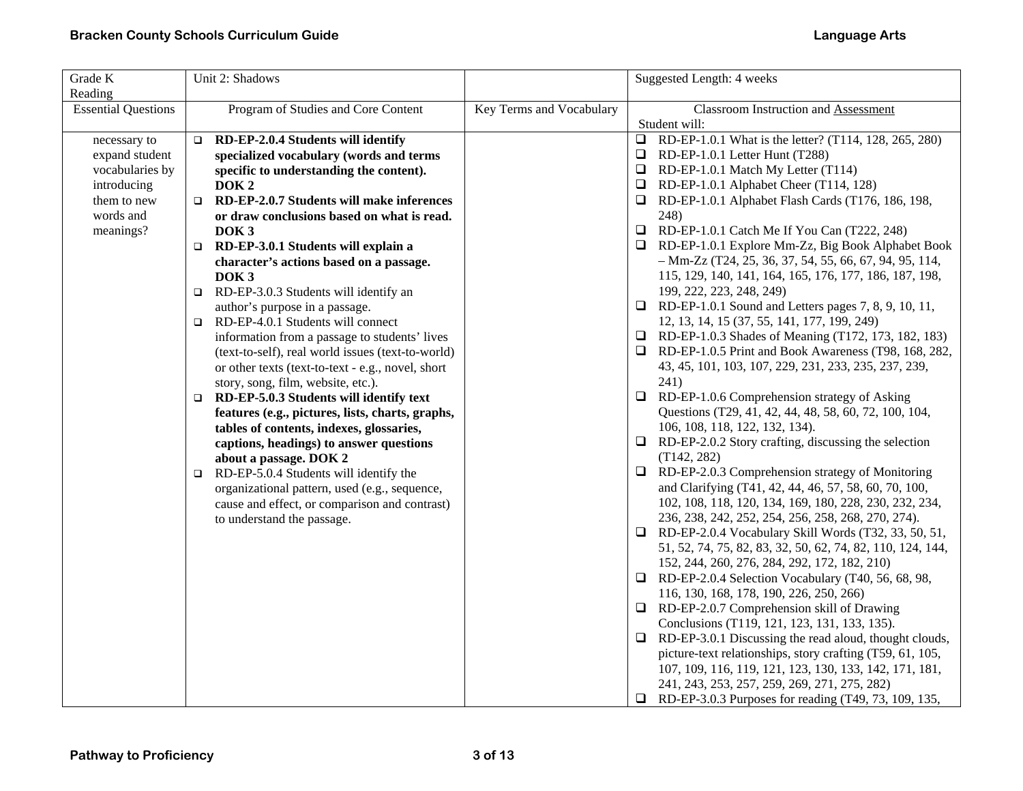| Grade K<br>Reading                                                                                        | Unit 2: Shadows                                                                                                                                                                                                                                                                                                                                                                                                                                                                                                                                                                                                                                                                                                                                                                                                                                                                                                                                                                                                                                                                                                                                    |                          | Suggested Length: 4 weeks                                                                                                                                                                                                                                                                                                                                                                                                                                                                                                                                                                                                                                                                                                                                                                                                                                                                                                                                                                                                                                                                                                                                                                                                                                                                                                                                                                                                                                                                                                                                                                                                                                                                                                                                                                                                                                                                                                                                         |
|-----------------------------------------------------------------------------------------------------------|----------------------------------------------------------------------------------------------------------------------------------------------------------------------------------------------------------------------------------------------------------------------------------------------------------------------------------------------------------------------------------------------------------------------------------------------------------------------------------------------------------------------------------------------------------------------------------------------------------------------------------------------------------------------------------------------------------------------------------------------------------------------------------------------------------------------------------------------------------------------------------------------------------------------------------------------------------------------------------------------------------------------------------------------------------------------------------------------------------------------------------------------------|--------------------------|-------------------------------------------------------------------------------------------------------------------------------------------------------------------------------------------------------------------------------------------------------------------------------------------------------------------------------------------------------------------------------------------------------------------------------------------------------------------------------------------------------------------------------------------------------------------------------------------------------------------------------------------------------------------------------------------------------------------------------------------------------------------------------------------------------------------------------------------------------------------------------------------------------------------------------------------------------------------------------------------------------------------------------------------------------------------------------------------------------------------------------------------------------------------------------------------------------------------------------------------------------------------------------------------------------------------------------------------------------------------------------------------------------------------------------------------------------------------------------------------------------------------------------------------------------------------------------------------------------------------------------------------------------------------------------------------------------------------------------------------------------------------------------------------------------------------------------------------------------------------------------------------------------------------------------------------------------------------|
| <b>Essential Questions</b>                                                                                | Program of Studies and Core Content                                                                                                                                                                                                                                                                                                                                                                                                                                                                                                                                                                                                                                                                                                                                                                                                                                                                                                                                                                                                                                                                                                                | Key Terms and Vocabulary | <b>Classroom Instruction and Assessment</b><br>Student will:                                                                                                                                                                                                                                                                                                                                                                                                                                                                                                                                                                                                                                                                                                                                                                                                                                                                                                                                                                                                                                                                                                                                                                                                                                                                                                                                                                                                                                                                                                                                                                                                                                                                                                                                                                                                                                                                                                      |
| necessary to<br>expand student<br>vocabularies by<br>introducing<br>them to new<br>words and<br>meanings? | RD-EP-2.0.4 Students will identify<br>$\Box$<br>specialized vocabulary (words and terms<br>specific to understanding the content).<br>DOK <sub>2</sub><br>RD-EP-2.0.7 Students will make inferences<br>$\Box$<br>or draw conclusions based on what is read.<br>DOK <sub>3</sub><br>RD-EP-3.0.1 Students will explain a<br>$\Box$<br>character's actions based on a passage.<br>DOK <sub>3</sub><br>RD-EP-3.0.3 Students will identify an<br>$\Box$<br>author's purpose in a passage.<br>RD-EP-4.0.1 Students will connect<br>$\Box$<br>information from a passage to students' lives<br>(text-to-self), real world issues (text-to-world)<br>or other texts (text-to-text - e.g., novel, short<br>story, song, film, website, etc.).<br>RD-EP-5.0.3 Students will identify text<br>$\Box$<br>features (e.g., pictures, lists, charts, graphs,<br>tables of contents, indexes, glossaries,<br>captions, headings) to answer questions<br>about a passage. DOK 2<br>RD-EP-5.0.4 Students will identify the<br>$\Box$<br>organizational pattern, used (e.g., sequence,<br>cause and effect, or comparison and contrast)<br>to understand the passage. |                          | RD-EP-1.0.1 What is the letter? (T114, 128, 265, 280)<br>$\Box$<br>RD-EP-1.0.1 Letter Hunt (T288)<br>$\Box$<br>RD-EP-1.0.1 Match My Letter (T114)<br>$\Box$<br>RD-EP-1.0.1 Alphabet Cheer (T114, 128)<br>$\Box$<br>RD-EP-1.0.1 Alphabet Flash Cards (T176, 186, 198,<br>248)<br>$\Box$<br>RD-EP-1.0.1 Catch Me If You Can (T222, 248)<br>RD-EP-1.0.1 Explore Mm-Zz, Big Book Alphabet Book<br>$-Mm-Zz$ (T24, 25, 36, 37, 54, 55, 66, 67, 94, 95, 114,<br>115, 129, 140, 141, 164, 165, 176, 177, 186, 187, 198,<br>199, 222, 223, 248, 249)<br>$\Box$ RD-EP-1.0.1 Sound and Letters pages 7, 8, 9, 10, 11,<br>12, 13, 14, 15 (37, 55, 141, 177, 199, 249)<br>RD-EP-1.0.3 Shades of Meaning (T172, 173, 182, 183)<br>u.<br>RD-EP-1.0.5 Print and Book Awareness (T98, 168, 282,<br>⊔.<br>43, 45, 101, 103, 107, 229, 231, 233, 235, 237, 239,<br>241)<br>RD-EP-1.0.6 Comprehension strategy of Asking<br>$\Box$<br>Questions (T29, 41, 42, 44, 48, 58, 60, 72, 100, 104,<br>106, 108, 118, 122, 132, 134).<br>$\Box$<br>RD-EP-2.0.2 Story crafting, discussing the selection<br>(T142, 282)<br>$\Box$<br>RD-EP-2.0.3 Comprehension strategy of Monitoring<br>and Clarifying (T41, 42, 44, 46, 57, 58, 60, 70, 100,<br>102, 108, 118, 120, 134, 169, 180, 228, 230, 232, 234,<br>236, 238, 242, 252, 254, 256, 258, 268, 270, 274).<br>RD-EP-2.0.4 Vocabulary Skill Words (T32, 33, 50, 51,<br>□<br>51, 52, 74, 75, 82, 83, 32, 50, 62, 74, 82, 110, 124, 144,<br>152, 244, 260, 276, 284, 292, 172, 182, 210)<br>$\Box$<br>RD-EP-2.0.4 Selection Vocabulary (T40, 56, 68, 98,<br>116, 130, 168, 178, 190, 226, 250, 266)<br>RD-EP-2.0.7 Comprehension skill of Drawing<br>u.<br>Conclusions (T119, 121, 123, 131, 133, 135).<br>❏<br>RD-EP-3.0.1 Discussing the read aloud, thought clouds,<br>picture-text relationships, story crafting (T59, 61, 105,<br>107, 109, 116, 119, 121, 123, 130, 133, 142, 171, 181,<br>241, 243, 253, 257, 259, 269, 271, 275, 282) |
|                                                                                                           |                                                                                                                                                                                                                                                                                                                                                                                                                                                                                                                                                                                                                                                                                                                                                                                                                                                                                                                                                                                                                                                                                                                                                    |                          | RD-EP-3.0.3 Purposes for reading (T49, 73, 109, 135,<br>⊔                                                                                                                                                                                                                                                                                                                                                                                                                                                                                                                                                                                                                                                                                                                                                                                                                                                                                                                                                                                                                                                                                                                                                                                                                                                                                                                                                                                                                                                                                                                                                                                                                                                                                                                                                                                                                                                                                                         |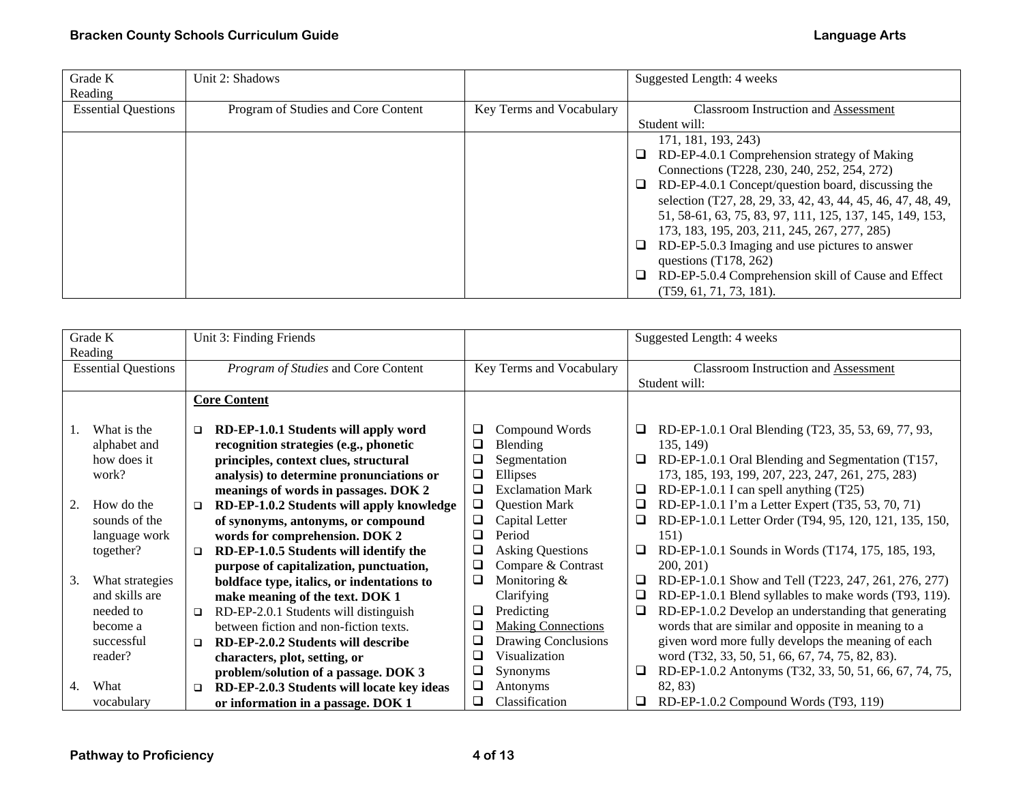| Grade K                    | Unit 2: Shadows                     |                          | Suggested Length: 4 weeks                                     |
|----------------------------|-------------------------------------|--------------------------|---------------------------------------------------------------|
| Reading                    |                                     |                          |                                                               |
| <b>Essential Questions</b> | Program of Studies and Core Content | Key Terms and Vocabulary | <b>Classroom Instruction and Assessment</b>                   |
|                            |                                     |                          | Student will:                                                 |
|                            |                                     |                          | 171, 181, 193, 243)                                           |
|                            |                                     |                          | RD-EP-4.0.1 Comprehension strategy of Making<br>$\Box$        |
|                            |                                     |                          | Connections (T228, 230, 240, 252, 254, 272)                   |
|                            |                                     |                          | RD-EP-4.0.1 Concept/question board, discussing the<br>□       |
|                            |                                     |                          | selection (T27, 28, 29, 33, 42, 43, 44, 45, 46, 47, 48, 49,   |
|                            |                                     |                          | 51, 58-61, 63, 75, 83, 97, 111, 125, 137, 145, 149, 153,      |
|                            |                                     |                          | 173, 183, 195, 203, 211, 245, 267, 277, 285)                  |
|                            |                                     |                          | RD-EP-5.0.3 Imaging and use pictures to answer<br>$\Box$      |
|                            |                                     |                          | questions $(T178, 262)$                                       |
|                            |                                     |                          | RD-EP-5.0.4 Comprehension skill of Cause and Effect<br>$\Box$ |
|                            |                                     |                          | $(T59, 61, 71, 73, 181)$ .                                    |

|         | Grade K                    |        | Unit 3: Finding Friends                    |        |                           |        | Suggested Length: 4 weeks                              |
|---------|----------------------------|--------|--------------------------------------------|--------|---------------------------|--------|--------------------------------------------------------|
| Reading |                            |        |                                            |        |                           |        |                                                        |
|         |                            |        |                                            |        |                           |        |                                                        |
|         | <b>Essential Questions</b> |        | Program of Studies and Core Content        |        | Key Terms and Vocabulary  |        | <b>Classroom Instruction and Assessment</b>            |
|         |                            |        |                                            |        |                           |        | Student will:                                          |
|         |                            |        | <b>Core Content</b>                        |        |                           |        |                                                        |
|         |                            |        |                                            |        |                           |        |                                                        |
| 1.      | What is the                | $\Box$ | RD-EP-1.0.1 Students will apply word       | ⊔      | Compound Words            | u      | RD-EP-1.0.1 Oral Blending (T23, 35, 53, 69, 77, 93,    |
|         | alphabet and               |        | recognition strategies (e.g., phonetic     | ⊔      | Blending                  |        | 135, 149)                                              |
|         | how does it                |        | principles, context clues, structural      | ❏      | Segmentation              | $\Box$ | RD-EP-1.0.1 Oral Blending and Segmentation (T157,      |
|         | work?                      |        | analysis) to determine pronunciations or   | ❏      | Ellipses                  |        | 173, 185, 193, 199, 207, 223, 247, 261, 275, 283)      |
|         |                            |        | meanings of words in passages. DOK 2       | ❏      | <b>Exclamation Mark</b>   | ❏      | RD-EP-1.0.1 I can spell anything (T25)                 |
| 2.      | How do the                 | $\Box$ | RD-EP-1.0.2 Students will apply knowledge  | □      | <b>Question Mark</b>      | ⊔      | RD-EP-1.0.1 I'm a Letter Expert (T35, 53, 70, 71)      |
|         | sounds of the              |        | of synonyms, antonyms, or compound         | ❏      | Capital Letter            | ❏      | RD-EP-1.0.1 Letter Order (T94, 95, 120, 121, 135, 150, |
|         | language work              |        | words for comprehension. DOK 2             | ❏      | Period                    |        | 151)                                                   |
|         | together?                  | □      | RD-EP-1.0.5 Students will identify the     | $\Box$ | <b>Asking Questions</b>   | ❏      | RD-EP-1.0.1 Sounds in Words (T174, 175, 185, 193,      |
|         |                            |        | purpose of capitalization, punctuation,    | $\Box$ | Compare & Contrast        |        | 200, 201                                               |
| 3.      | What strategies            |        | boldface type, italics, or indentations to | ❏      | Monitoring &              | ❏      | RD-EP-1.0.1 Show and Tell (T223, 247, 261, 276, 277)   |
|         | and skills are             |        | make meaning of the text. DOK 1            |        | Clarifying                | ❏      | RD-EP-1.0.1 Blend syllables to make words (T93, 119).  |
|         | needed to                  | $\Box$ | RD-EP-2.0.1 Students will distinguish      | ❏      | Predicting                | ❏      | RD-EP-1.0.2 Develop an understanding that generating   |
|         | become a                   |        | between fiction and non-fiction texts.     | ❏      | <b>Making Connections</b> |        | words that are similar and opposite in meaning to a    |
|         | successful                 | $\Box$ | RD-EP-2.0.2 Students will describe         | ❏      | Drawing Conclusions       |        | given word more fully develops the meaning of each     |
|         | reader?                    |        | characters, plot, setting, or              | ❏      | Visualization             |        | word (T32, 33, 50, 51, 66, 67, 74, 75, 82, 83).        |
|         |                            |        | problem/solution of a passage. DOK 3       | ❏      | Synonyms                  | ⊔      | RD-EP-1.0.2 Antonyms (T32, 33, 50, 51, 66, 67, 74, 75, |
| 4.      | What                       | ▫      | RD-EP-2.0.3 Students will locate key ideas | ❏      | Antonyms                  |        | 82, 83)                                                |
|         | vocabulary                 |        | or information in a passage. DOK 1         | ❏      | Classification            | ⊔      | RD-EP-1.0.2 Compound Words (T93, 119)                  |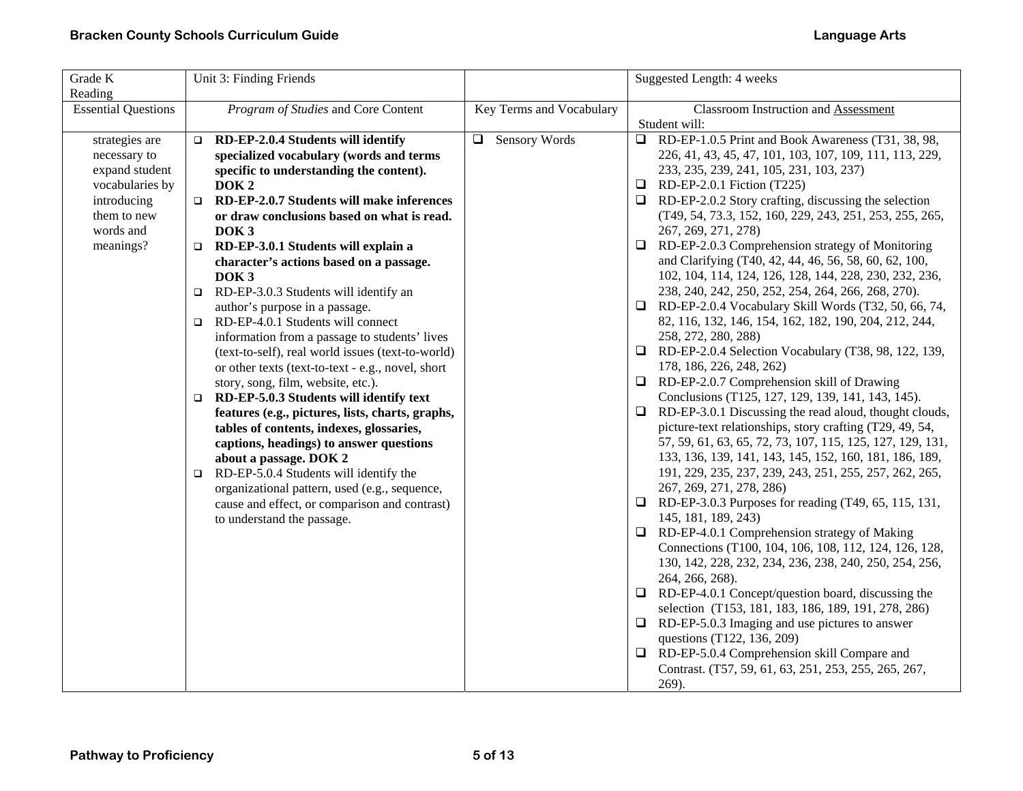| Grade K<br>Reading                                                                                                          | Unit 3: Finding Friends                                                                                                                                                                                                                                                                                                                                                                                                                                                                                                                                                                                                                                                                                                                                                                                                                                                                                                                                                                                                                                                                                                                            |                          | Suggested Length: 4 weeks                                                                                                                                                                                                                                                                                                                                                                                                                                                                                                                                                                                                                                                                                                                                                                                                                                                                                                                                                                                                                                                                                                                                                                                                                                                                                                                                                                                                                                                                                                                                                                                                                                                                                                                                                                                                                                                                               |
|-----------------------------------------------------------------------------------------------------------------------------|----------------------------------------------------------------------------------------------------------------------------------------------------------------------------------------------------------------------------------------------------------------------------------------------------------------------------------------------------------------------------------------------------------------------------------------------------------------------------------------------------------------------------------------------------------------------------------------------------------------------------------------------------------------------------------------------------------------------------------------------------------------------------------------------------------------------------------------------------------------------------------------------------------------------------------------------------------------------------------------------------------------------------------------------------------------------------------------------------------------------------------------------------|--------------------------|---------------------------------------------------------------------------------------------------------------------------------------------------------------------------------------------------------------------------------------------------------------------------------------------------------------------------------------------------------------------------------------------------------------------------------------------------------------------------------------------------------------------------------------------------------------------------------------------------------------------------------------------------------------------------------------------------------------------------------------------------------------------------------------------------------------------------------------------------------------------------------------------------------------------------------------------------------------------------------------------------------------------------------------------------------------------------------------------------------------------------------------------------------------------------------------------------------------------------------------------------------------------------------------------------------------------------------------------------------------------------------------------------------------------------------------------------------------------------------------------------------------------------------------------------------------------------------------------------------------------------------------------------------------------------------------------------------------------------------------------------------------------------------------------------------------------------------------------------------------------------------------------------------|
| <b>Essential Questions</b>                                                                                                  | Program of Studies and Core Content                                                                                                                                                                                                                                                                                                                                                                                                                                                                                                                                                                                                                                                                                                                                                                                                                                                                                                                                                                                                                                                                                                                | Key Terms and Vocabulary | <b>Classroom Instruction and Assessment</b><br>Student will:                                                                                                                                                                                                                                                                                                                                                                                                                                                                                                                                                                                                                                                                                                                                                                                                                                                                                                                                                                                                                                                                                                                                                                                                                                                                                                                                                                                                                                                                                                                                                                                                                                                                                                                                                                                                                                            |
| strategies are<br>necessary to<br>expand student<br>vocabularies by<br>introducing<br>them to new<br>words and<br>meanings? | RD-EP-2.0.4 Students will identify<br>$\Box$<br>specialized vocabulary (words and terms<br>specific to understanding the content).<br>DOK <sub>2</sub><br>RD-EP-2.0.7 Students will make inferences<br>$\Box$<br>or draw conclusions based on what is read.<br>DOK <sub>3</sub><br>RD-EP-3.0.1 Students will explain a<br>$\Box$<br>character's actions based on a passage.<br>DOK <sub>3</sub><br>RD-EP-3.0.3 Students will identify an<br>$\Box$<br>author's purpose in a passage.<br>RD-EP-4.0.1 Students will connect<br>$\Box$<br>information from a passage to students' lives<br>(text-to-self), real world issues (text-to-world)<br>or other texts (text-to-text - e.g., novel, short<br>story, song, film, website, etc.).<br>RD-EP-5.0.3 Students will identify text<br>$\Box$<br>features (e.g., pictures, lists, charts, graphs,<br>tables of contents, indexes, glossaries,<br>captions, headings) to answer questions<br>about a passage. DOK 2<br>RD-EP-5.0.4 Students will identify the<br>$\Box$<br>organizational pattern, used (e.g., sequence,<br>cause and effect, or comparison and contrast)<br>to understand the passage. | □ Sensory Words          | RD-EP-1.0.5 Print and Book Awareness (T31, 38, 98,<br>226, 41, 43, 45, 47, 101, 103, 107, 109, 111, 113, 229,<br>233, 235, 239, 241, 105, 231, 103, 237)<br>$\Box$ RD-EP-2.0.1 Fiction (T225)<br>$\Box$ RD-EP-2.0.2 Story crafting, discussing the selection<br>(T49, 54, 73.3, 152, 160, 229, 243, 251, 253, 255, 265,<br>267, 269, 271, 278)<br>RD-EP-2.0.3 Comprehension strategy of Monitoring<br>$\Box$<br>and Clarifying (T40, 42, 44, 46, 56, 58, 60, 62, 100,<br>102, 104, 114, 124, 126, 128, 144, 228, 230, 232, 236,<br>238, 240, 242, 250, 252, 254, 264, 266, 268, 270).<br>RD-EP-2.0.4 Vocabulary Skill Words (T32, 50, 66, 74,<br>⊔<br>82, 116, 132, 146, 154, 162, 182, 190, 204, 212, 244,<br>258, 272, 280, 288)<br>RD-EP-2.0.4 Selection Vocabulary (T38, 98, 122, 139,<br>⊔<br>178, 186, 226, 248, 262)<br>RD-EP-2.0.7 Comprehension skill of Drawing<br>u.<br>Conclusions (T125, 127, 129, 139, 141, 143, 145).<br>RD-EP-3.0.1 Discussing the read aloud, thought clouds,<br>$\Box$<br>picture-text relationships, story crafting (T29, 49, 54,<br>57, 59, 61, 63, 65, 72, 73, 107, 115, 125, 127, 129, 131,<br>133, 136, 139, 141, 143, 145, 152, 160, 181, 186, 189,<br>191, 229, 235, 237, 239, 243, 251, 255, 257, 262, 265,<br>267, 269, 271, 278, 286)<br>$\Box$ RD-EP-3.0.3 Purposes for reading (T49, 65, 115, 131,<br>145, 181, 189, 243)<br>RD-EP-4.0.1 Comprehension strategy of Making<br>⊔<br>Connections (T100, 104, 106, 108, 112, 124, 126, 128,<br>130, 142, 228, 232, 234, 236, 238, 240, 250, 254, 256,<br>264, 266, 268).<br>$\Box$ RD-EP-4.0.1 Concept/question board, discussing the<br>selection (T153, 181, 183, 186, 189, 191, 278, 286)<br>RD-EP-5.0.3 Imaging and use pictures to answer<br>$\Box$<br>questions (T122, 136, 209)<br>$\Box$ RD-EP-5.0.4 Comprehension skill Compare and<br>Contrast. (T57, 59, 61, 63, 251, 253, 255, 265, 267,<br>269). |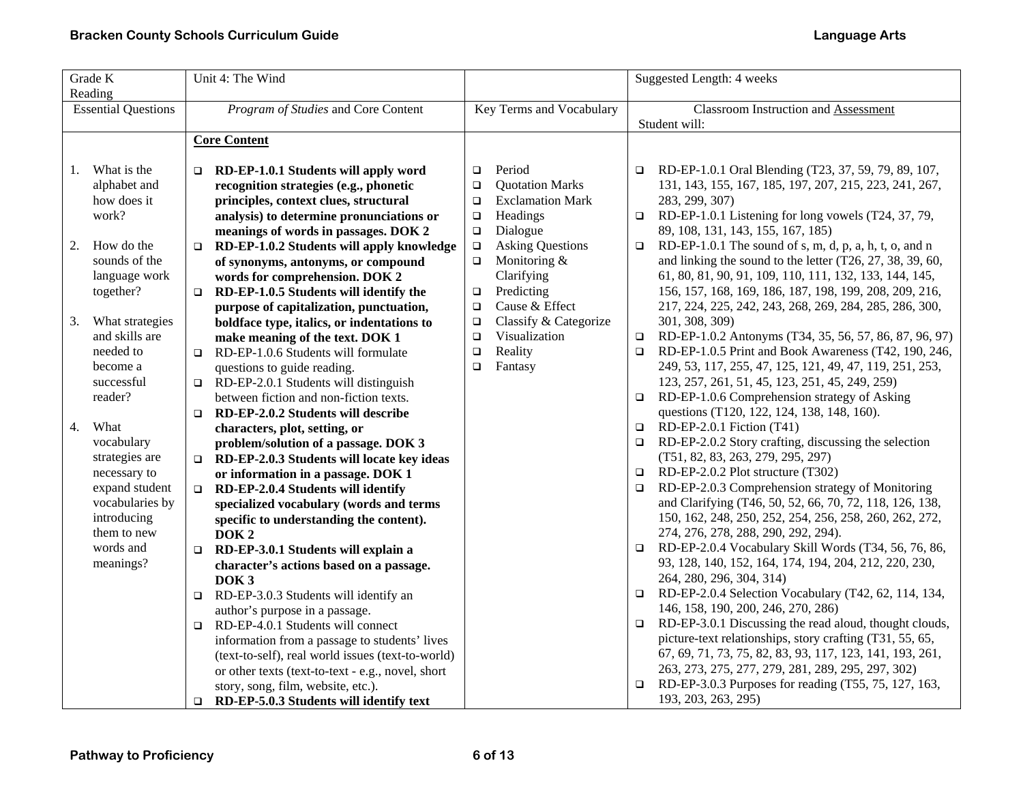| Grade K<br>Reading |                            |        | Unit 4: The Wind                                                                   |                          |                         |        | Suggested Length: 4 weeks                                                                      |  |
|--------------------|----------------------------|--------|------------------------------------------------------------------------------------|--------------------------|-------------------------|--------|------------------------------------------------------------------------------------------------|--|
|                    | <b>Essential Questions</b> |        | Program of Studies and Core Content                                                | Key Terms and Vocabulary |                         |        | <b>Classroom Instruction and Assessment</b><br>Student will:                                   |  |
|                    |                            |        | <b>Core Content</b>                                                                |                          |                         |        |                                                                                                |  |
|                    |                            |        |                                                                                    |                          |                         |        |                                                                                                |  |
| 1.                 | What is the                | $\Box$ | RD-EP-1.0.1 Students will apply word                                               | □                        | Period                  | $\Box$ | RD-EP-1.0.1 Oral Blending (T23, 37, 59, 79, 89, 107,                                           |  |
|                    | alphabet and               |        | recognition strategies (e.g., phonetic                                             | $\Box$                   | <b>Quotation Marks</b>  |        | 131, 143, 155, 167, 185, 197, 207, 215, 223, 241, 267,                                         |  |
|                    | how does it                |        | principles, context clues, structural                                              | $\Box$                   | <b>Exclamation Mark</b> |        | 283, 299, 307)                                                                                 |  |
|                    | work?                      |        | analysis) to determine pronunciations or                                           | $\Box$                   | Headings                |        | $\Box$ RD-EP-1.0.1 Listening for long vowels (T24, 37, 79,                                     |  |
|                    |                            |        | meanings of words in passages. DOK 2                                               | $\Box$                   | Dialogue                |        | 89, 108, 131, 143, 155, 167, 185)                                                              |  |
| 2.                 | How do the                 | $\Box$ | RD-EP-1.0.2 Students will apply knowledge                                          | $\Box$                   | <b>Asking Questions</b> | $\Box$ | RD-EP-1.0.1 The sound of s, m, d, p, a, h, t, o, and n                                         |  |
|                    | sounds of the              |        | of synonyms, antonyms, or compound                                                 | $\Box$                   | Monitoring &            |        | and linking the sound to the letter $(T26, 27, 38, 39, 60,$                                    |  |
|                    | language work              |        | words for comprehension. DOK 2                                                     |                          | Clarifying              |        | 61, 80, 81, 90, 91, 109, 110, 111, 132, 133, 144, 145,                                         |  |
|                    | together?                  | $\Box$ | RD-EP-1.0.5 Students will identify the                                             | $\Box$                   | Predicting              |        | 156, 157, 168, 169, 186, 187, 198, 199, 208, 209, 216,                                         |  |
|                    |                            |        | purpose of capitalization, punctuation,                                            | $\Box$                   | Cause & Effect          |        | 217, 224, 225, 242, 243, 268, 269, 284, 285, 286, 300,                                         |  |
| 3.                 | What strategies            |        | boldface type, italics, or indentations to                                         | $\Box$                   | Classify & Categorize   |        | 301, 308, 309)                                                                                 |  |
|                    | and skills are             |        | make meaning of the text. DOK 1                                                    | $\Box$                   | Visualization           | $\Box$ | RD-EP-1.0.2 Antonyms (T34, 35, 56, 57, 86, 87, 96, 97)                                         |  |
|                    | needed to                  | $\Box$ | RD-EP-1.0.6 Students will formulate                                                | $\Box$                   | Reality                 | $\Box$ | RD-EP-1.0.5 Print and Book Awareness (T42, 190, 246,                                           |  |
|                    | become a<br>successful     |        | questions to guide reading.                                                        | $\Box$                   | Fantasy                 |        | 249, 53, 117, 255, 47, 125, 121, 49, 47, 119, 251, 253,                                        |  |
|                    | reader?                    | $\Box$ | RD-EP-2.0.1 Students will distinguish<br>between fiction and non-fiction texts.    |                          |                         | $\Box$ | 123, 257, 261, 51, 45, 123, 251, 45, 249, 259)<br>RD-EP-1.0.6 Comprehension strategy of Asking |  |
|                    |                            |        |                                                                                    |                          |                         |        | questions (T120, 122, 124, 138, 148, 160).                                                     |  |
| 4.                 | What                       | $\Box$ | RD-EP-2.0.2 Students will describe                                                 |                          |                         | $\Box$ | RD-EP-2.0.1 Fiction (T41)                                                                      |  |
|                    | vocabulary                 |        | characters, plot, setting, or                                                      |                          |                         | $\Box$ | RD-EP-2.0.2 Story crafting, discussing the selection                                           |  |
|                    | strategies are             | $\Box$ | problem/solution of a passage. DOK 3<br>RD-EP-2.0.3 Students will locate key ideas |                          |                         |        | (T51, 82, 83, 263, 279, 295, 297)                                                              |  |
|                    | necessary to               |        | or information in a passage. DOK 1                                                 |                          |                         | $\Box$ | RD-EP-2.0.2 Plot structure (T302)                                                              |  |
|                    | expand student             | $\Box$ | RD-EP-2.0.4 Students will identify                                                 |                          |                         | $\Box$ | RD-EP-2.0.3 Comprehension strategy of Monitoring                                               |  |
|                    | vocabularies by            |        | specialized vocabulary (words and terms                                            |                          |                         |        | and Clarifying (T46, 50, 52, 66, 70, 72, 118, 126, 138,                                        |  |
|                    | introducing                |        | specific to understanding the content).                                            |                          |                         |        | 150, 162, 248, 250, 252, 254, 256, 258, 260, 262, 272,                                         |  |
|                    | them to new                |        | DOK <sub>2</sub>                                                                   |                          |                         |        | 274, 276, 278, 288, 290, 292, 294).                                                            |  |
|                    | words and                  | $\Box$ | RD-EP-3.0.1 Students will explain a                                                |                          |                         |        | $\Box$ RD-EP-2.0.4 Vocabulary Skill Words (T34, 56, 76, 86,                                    |  |
|                    | meanings?                  |        | character's actions based on a passage.                                            |                          |                         |        | 93, 128, 140, 152, 164, 174, 194, 204, 212, 220, 230,                                          |  |
|                    |                            |        | DOK <sub>3</sub>                                                                   |                          |                         |        | 264, 280, 296, 304, 314)                                                                       |  |
|                    |                            | $\Box$ | RD-EP-3.0.3 Students will identify an                                              |                          |                         | $\Box$ | RD-EP-2.0.4 Selection Vocabulary (T42, 62, 114, 134,                                           |  |
|                    |                            |        | author's purpose in a passage.                                                     |                          |                         |        | 146, 158, 190, 200, 246, 270, 286)                                                             |  |
|                    |                            | $\Box$ | RD-EP-4.0.1 Students will connect                                                  |                          |                         | $\Box$ | RD-EP-3.0.1 Discussing the read aloud, thought clouds,                                         |  |
|                    |                            |        | information from a passage to students' lives                                      |                          |                         |        | picture-text relationships, story crafting (T31, 55, 65,                                       |  |
|                    |                            |        | (text-to-self), real world issues (text-to-world)                                  |                          |                         |        | 67, 69, 71, 73, 75, 82, 83, 93, 117, 123, 141, 193, 261,                                       |  |
|                    |                            |        | or other texts (text-to-text - e.g., novel, short                                  |                          |                         |        | 263, 273, 275, 277, 279, 281, 289, 295, 297, 302)                                              |  |
|                    |                            |        | story, song, film, website, etc.).                                                 |                          |                         | $\Box$ | RD-EP-3.0.3 Purposes for reading (T55, 75, 127, 163,                                           |  |
|                    |                            | $\Box$ | RD-EP-5.0.3 Students will identify text                                            |                          |                         |        | 193, 203, 263, 295)                                                                            |  |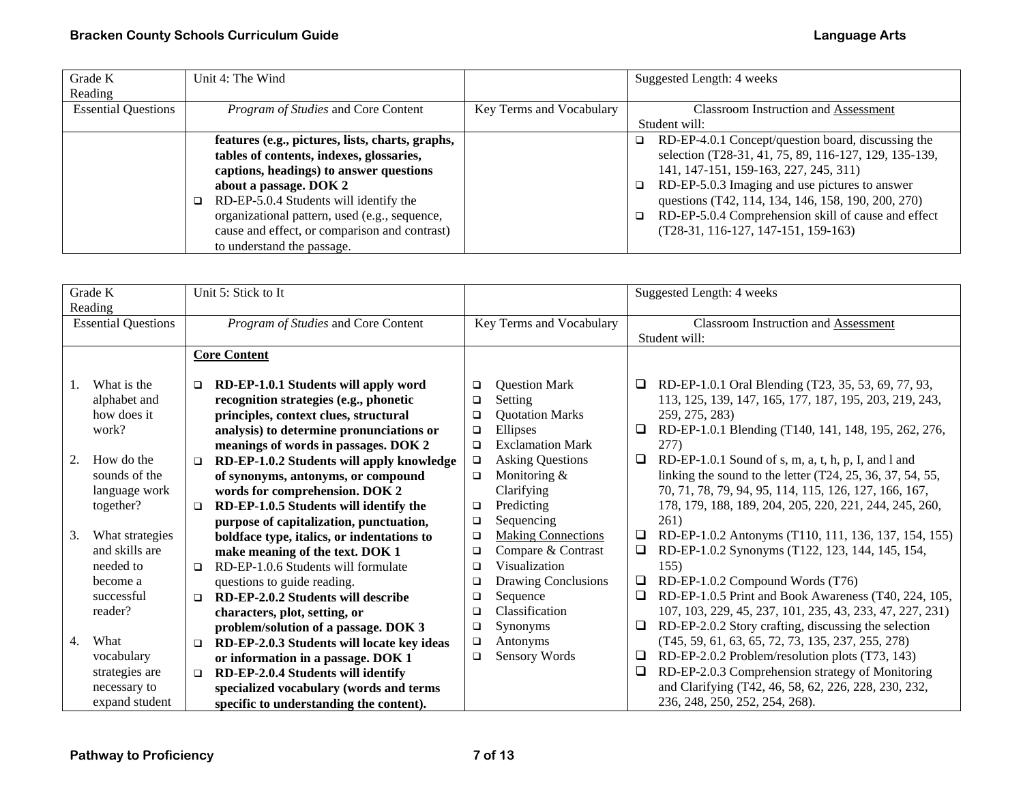| Grade K                    | Unit 4: The Wind                                 |                          | Suggested Length: 4 weeks                                     |
|----------------------------|--------------------------------------------------|--------------------------|---------------------------------------------------------------|
| Reading                    |                                                  |                          |                                                               |
| <b>Essential Questions</b> | Program of Studies and Core Content              | Key Terms and Vocabulary | <b>Classroom Instruction and Assessment</b>                   |
|                            |                                                  |                          | Student will:                                                 |
|                            | features (e.g., pictures, lists, charts, graphs, |                          | RD-EP-4.0.1 Concept/question board, discussing the<br>□       |
|                            | tables of contents, indexes, glossaries,         |                          | selection (T28-31, 41, 75, 89, 116-127, 129, 135-139,         |
|                            | captions, headings) to answer questions          |                          | 141, 147-151, 159-163, 227, 245, 311)                         |
|                            | about a passage. DOK 2                           |                          | RD-EP-5.0.3 Imaging and use pictures to answer<br>$\Box$      |
|                            | RD-EP-5.0.4 Students will identify the<br>□      |                          | questions (T42, 114, 134, 146, 158, 190, 200, 270)            |
|                            | organizational pattern, used (e.g., sequence,    |                          | RD-EP-5.0.4 Comprehension skill of cause and effect<br>$\Box$ |
|                            | cause and effect, or comparison and contrast)    |                          | $(T28-31, 116-127, 147-151, 159-163)$                         |
|                            | to understand the passage.                       |                          |                                                               |

|                  | Grade K                    |        | Unit 5: Stick to It                        |        |                           |        | Suggested Length: 4 weeks                                   |
|------------------|----------------------------|--------|--------------------------------------------|--------|---------------------------|--------|-------------------------------------------------------------|
| Reading          |                            |        |                                            |        |                           |        |                                                             |
|                  | <b>Essential Questions</b> |        | Program of Studies and Core Content        |        | Key Terms and Vocabulary  |        | Classroom Instruction and Assessment                        |
|                  |                            |        |                                            |        |                           |        | Student will:                                               |
|                  |                            |        |                                            |        |                           |        |                                                             |
|                  |                            |        | <b>Core Content</b>                        |        |                           |        |                                                             |
| Τ.               | What is the                | $\Box$ | RD-EP-1.0.1 Students will apply word       | $\Box$ | <b>Question Mark</b>      | Q.     | RD-EP-1.0.1 Oral Blending (T23, 35, 53, 69, 77, 93,         |
|                  | alphabet and               |        | recognition strategies (e.g., phonetic     | $\Box$ | Setting                   |        | 113, 125, 139, 147, 165, 177, 187, 195, 203, 219, 243,      |
|                  | how does it                |        | principles, context clues, structural      | $\Box$ | <b>Quotation Marks</b>    |        | 259, 275, 283)                                              |
|                  | work?                      |        | analysis) to determine pronunciations or   | $\Box$ | Ellipses                  | ❏      | RD-EP-1.0.1 Blending (T140, 141, 148, 195, 262, 276,        |
|                  |                            |        | meanings of words in passages. DOK 2       | $\Box$ | <b>Exclamation Mark</b>   |        | 277)                                                        |
| 2.               | How do the                 | $\Box$ | RD-EP-1.0.2 Students will apply knowledge  | $\Box$ | <b>Asking Questions</b>   | □      | RD-EP-1.0.1 Sound of s, m, a, t, h, p, I, and l and         |
|                  | sounds of the              |        | of synonyms, antonyms, or compound         | $\Box$ | Monitoring &              |        | linking the sound to the letter $(T24, 25, 36, 37, 54, 55,$ |
|                  | language work              |        | words for comprehension. DOK 2             |        | Clarifying                |        | 70, 71, 78, 79, 94, 95, 114, 115, 126, 127, 166, 167,       |
|                  | together?                  | $\Box$ | RD-EP-1.0.5 Students will identify the     | $\Box$ | Predicting                |        | 178, 179, 188, 189, 204, 205, 220, 221, 244, 245, 260,      |
|                  |                            |        | purpose of capitalization, punctuation,    | $\Box$ | Sequencing                |        | 261)                                                        |
| 3.               | What strategies            |        | boldface type, italics, or indentations to | $\Box$ | <b>Making Connections</b> | $\Box$ | RD-EP-1.0.2 Antonyms (T110, 111, 136, 137, 154, 155)        |
|                  | and skills are             |        | make meaning of the text. DOK 1            | $\Box$ | Compare & Contrast        | $\Box$ | RD-EP-1.0.2 Synonyms (T122, 123, 144, 145, 154,             |
|                  | needed to                  | $\Box$ | RD-EP-1.0.6 Students will formulate        | $\Box$ | Visualization             |        | 155)                                                        |
|                  | become a                   |        | questions to guide reading.                | $\Box$ | Drawing Conclusions       | □      | RD-EP-1.0.2 Compound Words (T76)                            |
|                  | successful                 | $\Box$ | RD-EP-2.0.2 Students will describe         | $\Box$ | Sequence                  | $\Box$ | RD-EP-1.0.5 Print and Book Awareness (T40, 224, 105,        |
|                  | reader?                    |        | characters, plot, setting, or              | □      | Classification            |        | 107, 103, 229, 45, 237, 101, 235, 43, 233, 47, 227, 231)    |
|                  |                            |        | problem/solution of a passage. DOK 3       | $\Box$ | Synonyms                  | □      | RD-EP-2.0.2 Story crafting, discussing the selection        |
| $\overline{4}$ . | What                       | $\Box$ | RD-EP-2.0.3 Students will locate key ideas | $\Box$ | Antonyms                  |        | $(T45, 59, 61, 63, 65, 72, 73, 135, 237, 255, 278)$         |
|                  | vocabulary                 |        | or information in a passage. DOK 1         | $\Box$ | Sensory Words             | ❏      | RD-EP-2.0.2 Problem/resolution plots (T73, 143)             |
|                  | strategies are             | $\Box$ | RD-EP-2.0.4 Students will identify         |        |                           | ❏      | RD-EP-2.0.3 Comprehension strategy of Monitoring            |
|                  | necessary to               |        | specialized vocabulary (words and terms    |        |                           |        | and Clarifying (T42, 46, 58, 62, 226, 228, 230, 232,        |
|                  | expand student             |        | specific to understanding the content).    |        |                           |        | 236, 248, 250, 252, 254, 268).                              |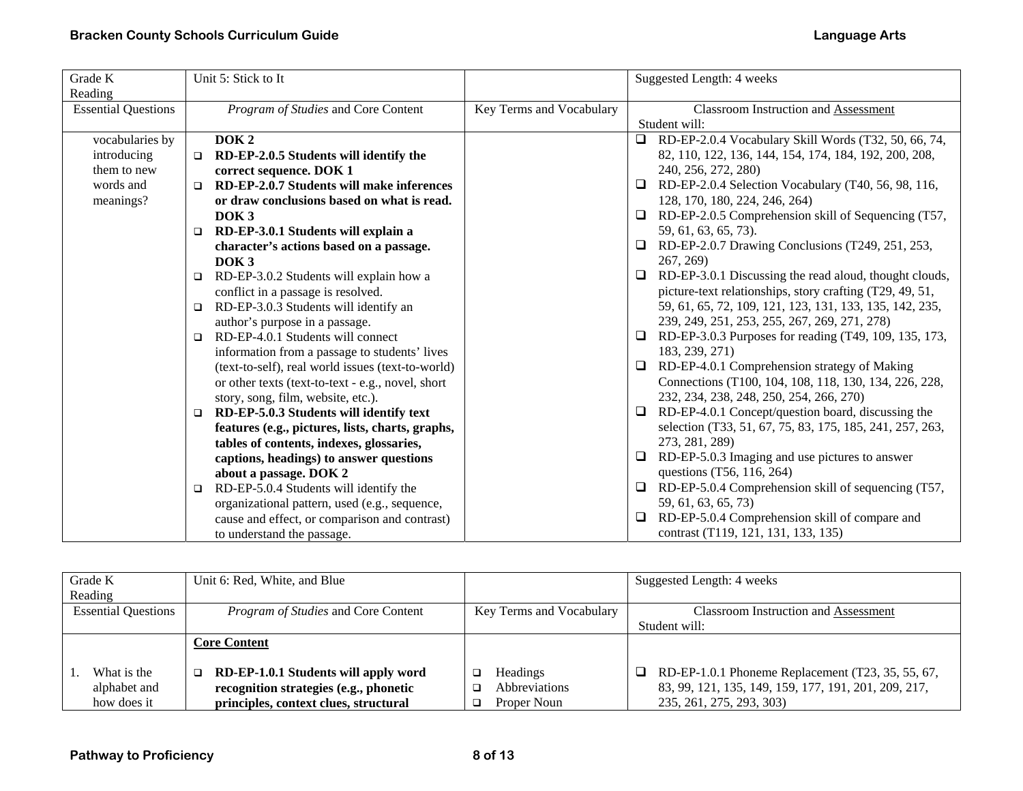| Grade K                    | Unit 5: Stick to It                                 |                          | Suggested Length: 4 weeks                                        |
|----------------------------|-----------------------------------------------------|--------------------------|------------------------------------------------------------------|
| Reading                    |                                                     |                          |                                                                  |
| <b>Essential Questions</b> | Program of Studies and Core Content                 | Key Terms and Vocabulary | Classroom Instruction and Assessment                             |
|                            |                                                     |                          | Student will:                                                    |
| vocabularies by            | DOK <sub>2</sub>                                    |                          | $\Box$ RD-EP-2.0.4 Vocabulary Skill Words (T32, 50, 66, 74,      |
| introducing                | RD-EP-2.0.5 Students will identify the<br>$\Box$    |                          | 82, 110, 122, 136, 144, 154, 174, 184, 192, 200, 208,            |
| them to new                | correct sequence. DOK 1                             |                          | 240, 256, 272, 280)                                              |
| words and                  | RD-EP-2.0.7 Students will make inferences<br>$\Box$ |                          | RD-EP-2.0.4 Selection Vocabulary (T40, 56, 98, 116,              |
| meanings?                  | or draw conclusions based on what is read.          |                          | 128, 170, 180, 224, 246, 264)                                    |
|                            | DOK <sub>3</sub>                                    |                          | RD-EP-2.0.5 Comprehension skill of Sequencing (T57,<br>$\Box$    |
|                            | RD-EP-3.0.1 Students will explain a<br>□            |                          | 59, 61, 63, 65, 73).                                             |
|                            | character's actions based on a passage.             |                          | RD-EP-2.0.7 Drawing Conclusions (T249, 251, 253,                 |
|                            | DOK <sub>3</sub>                                    |                          | 267, 269)                                                        |
|                            | RD-EP-3.0.2 Students will explain how a<br>□        |                          | RD-EP-3.0.1 Discussing the read aloud, thought clouds,<br>$\Box$ |
|                            | conflict in a passage is resolved.                  |                          | picture-text relationships, story crafting (T29, 49, 51,         |
|                            | RD-EP-3.0.3 Students will identify an<br>$\Box$     |                          | 59, 61, 65, 72, 109, 121, 123, 131, 133, 135, 142, 235,          |
|                            | author's purpose in a passage.                      |                          | 239, 249, 251, 253, 255, 267, 269, 271, 278)                     |
|                            | RD-EP-4.0.1 Students will connect<br>$\Box$         |                          | RD-EP-3.0.3 Purposes for reading (T49, 109, 135, 173,            |
|                            | information from a passage to students' lives       |                          | 183, 239, 271)                                                   |
|                            | (text-to-self), real world issues (text-to-world)   |                          | RD-EP-4.0.1 Comprehension strategy of Making                     |
|                            | or other texts (text-to-text - e.g., novel, short   |                          | Connections (T100, 104, 108, 118, 130, 134, 226, 228,            |
|                            | story, song, film, website, etc.).                  |                          | 232, 234, 238, 248, 250, 254, 266, 270)                          |
|                            | RD-EP-5.0.3 Students will identify text<br>□        |                          | RD-EP-4.0.1 Concept/question board, discussing the<br>ч          |
|                            | features (e.g., pictures, lists, charts, graphs,    |                          | selection (T33, 51, 67, 75, 83, 175, 185, 241, 257, 263,         |
|                            | tables of contents, indexes, glossaries,            |                          | 273, 281, 289)                                                   |
|                            | captions, headings) to answer questions             |                          | RD-EP-5.0.3 Imaging and use pictures to answer<br>□              |
|                            | about a passage. DOK 2                              |                          | questions (T56, 116, 264)                                        |
|                            | RD-EP-5.0.4 Students will identify the<br>□         |                          | RD-EP-5.0.4 Comprehension skill of sequencing (T57,              |
|                            | organizational pattern, used (e.g., sequence,       |                          | 59, 61, 63, 65, 73)                                              |
|                            | cause and effect, or comparison and contrast)       |                          | RD-EP-5.0.4 Comprehension skill of compare and<br>□              |
|                            | to understand the passage.                          |                          | contrast (T119, 121, 131, 133, 135)                              |

| Grade K<br>Reading                         | Unit 6: Red, White, and Blue                                                                                                 |                                                             | Suggested Length: 4 weeks                                                                                                                    |
|--------------------------------------------|------------------------------------------------------------------------------------------------------------------------------|-------------------------------------------------------------|----------------------------------------------------------------------------------------------------------------------------------------------|
| <b>Essential Questions</b>                 | <i>Program of Studies</i> and Core Content                                                                                   | Key Terms and Vocabulary                                    | <b>Classroom Instruction and Assessment</b><br>Student will:                                                                                 |
|                                            | <b>Core Content</b>                                                                                                          |                                                             |                                                                                                                                              |
| What is the<br>alphabet and<br>how does it | RD-EP-1.0.1 Students will apply word<br>□<br>recognition strategies (e.g., phonetic<br>principles, context clues, structural | <b>Headings</b><br>◻<br><b>Abbreviations</b><br>Proper Noun | $\Box$ RD-EP-1.0.1 Phoneme Replacement (T23, 35, 55, 67,<br>83, 99, 121, 135, 149, 159, 177, 191, 201, 209, 217,<br>235, 261, 275, 293, 303) |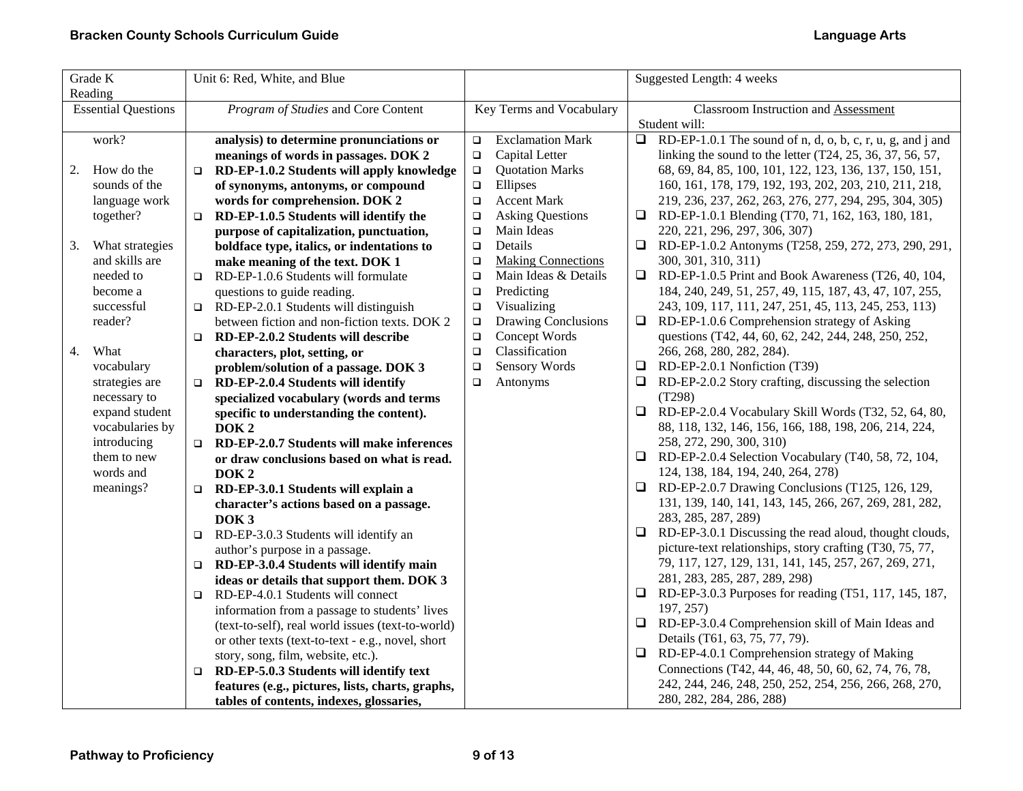| Grade K<br>Reading         |                 | Unit 6: Red, White, and Blue |                                                   |                          | Suggested Length: 4 weeks |                                                              |                                                                                 |
|----------------------------|-----------------|------------------------------|---------------------------------------------------|--------------------------|---------------------------|--------------------------------------------------------------|---------------------------------------------------------------------------------|
| <b>Essential Questions</b> |                 |                              | Program of Studies and Core Content               | Key Terms and Vocabulary |                           | <b>Classroom Instruction and Assessment</b><br>Student will: |                                                                                 |
|                            | work?           |                              | analysis) to determine pronunciations or          | $\Box$                   | <b>Exclamation Mark</b>   | $\Box$                                                       | $\overline{\text{RD-EP}}$ -1.0.1 The sound of n, d, o, b, c, r, u, g, and j and |
|                            |                 |                              | meanings of words in passages. DOK 2              | $\Box$                   | Capital Letter            |                                                              | linking the sound to the letter $(T24, 25, 36, 37, 56, 57,$                     |
| 2.                         | How do the      | $\Box$                       | RD-EP-1.0.2 Students will apply knowledge         | $\Box$                   | <b>Quotation Marks</b>    |                                                              | 68, 69, 84, 85, 100, 101, 122, 123, 136, 137, 150, 151,                         |
|                            | sounds of the   |                              | of synonyms, antonyms, or compound                | $\Box$                   | Ellipses                  |                                                              | 160, 161, 178, 179, 192, 193, 202, 203, 210, 211, 218,                          |
|                            | language work   |                              | words for comprehension. DOK 2                    | $\Box$                   | <b>Accent Mark</b>        |                                                              | 219, 236, 237, 262, 263, 276, 277, 294, 295, 304, 305)                          |
|                            | together?       | $\Box$                       | RD-EP-1.0.5 Students will identify the            | $\Box$                   | <b>Asking Questions</b>   |                                                              | RD-EP-1.0.1 Blending (T70, 71, 162, 163, 180, 181,                              |
|                            |                 |                              | purpose of capitalization, punctuation,           | $\Box$                   | Main Ideas                |                                                              | 220, 221, 296, 297, 306, 307)                                                   |
| 3.                         | What strategies |                              | boldface type, italics, or indentations to        | $\Box$                   | Details                   |                                                              | □ RD-EP-1.0.2 Antonyms (T258, 259, 272, 273, 290, 291,                          |
|                            | and skills are  |                              | make meaning of the text. DOK 1                   | $\Box$                   | <b>Making Connections</b> |                                                              | 300, 301, 310, 311)                                                             |
|                            | needed to       |                              | $\Box$ RD-EP-1.0.6 Students will formulate        | $\Box$                   | Main Ideas & Details      |                                                              | $\Box$ RD-EP-1.0.5 Print and Book Awareness (T26, 40, 104,                      |
|                            | become a        |                              | questions to guide reading.                       | $\Box$                   | Predicting                |                                                              | 184, 240, 249, 51, 257, 49, 115, 187, 43, 47, 107, 255,                         |
|                            | successful      |                              | $\Box$ RD-EP-2.0.1 Students will distinguish      | $\Box$                   | Visualizing               |                                                              | 243, 109, 117, 111, 247, 251, 45, 113, 245, 253, 113)                           |
|                            | reader?         |                              | between fiction and non-fiction texts. DOK 2      | $\Box$                   | Drawing Conclusions       | ⊔                                                            | RD-EP-1.0.6 Comprehension strategy of Asking                                    |
|                            |                 | $\Box$                       | RD-EP-2.0.2 Students will describe                | $\Box$                   | Concept Words             |                                                              | questions (T42, 44, 60, 62, 242, 244, 248, 250, 252,                            |
| 4.                         | What            |                              | characters, plot, setting, or                     | $\Box$                   | Classification            |                                                              | 266, 268, 280, 282, 284).                                                       |
|                            | vocabulary      |                              | problem/solution of a passage. DOK 3              | $\Box$                   | Sensory Words             | ⊔                                                            | RD-EP-2.0.1 Nonfiction (T39)                                                    |
|                            | strategies are  | $\Box$                       | RD-EP-2.0.4 Students will identify                | $\Box$                   | Antonyms                  | □                                                            | RD-EP-2.0.2 Story crafting, discussing the selection                            |
|                            | necessary to    |                              | specialized vocabulary (words and terms           |                          |                           |                                                              | (T298)                                                                          |
|                            | expand student  |                              | specific to understanding the content).           |                          |                           |                                                              | $\Box$ RD-EP-2.0.4 Vocabulary Skill Words (T32, 52, 64, 80,                     |
|                            | vocabularies by |                              | DOK <sub>2</sub>                                  |                          |                           |                                                              | 88, 118, 132, 146, 156, 166, 188, 198, 206, 214, 224,                           |
|                            | introducing     |                              | $\Box$ RD-EP-2.0.7 Students will make inferences  |                          |                           |                                                              | 258, 272, 290, 300, 310)                                                        |
|                            | them to new     |                              | or draw conclusions based on what is read.        |                          |                           | ⊔                                                            | RD-EP-2.0.4 Selection Vocabulary (T40, 58, 72, 104,                             |
|                            | words and       |                              | DOK <sub>2</sub>                                  |                          |                           |                                                              | 124, 138, 184, 194, 240, 264, 278)                                              |
|                            | meanings?       |                              | $\Box$ RD-EP-3.0.1 Students will explain a        |                          |                           | $\Box$                                                       | RD-EP-2.0.7 Drawing Conclusions (T125, 126, 129,                                |
|                            |                 |                              | character's actions based on a passage.           |                          |                           |                                                              | 131, 139, 140, 141, 143, 145, 266, 267, 269, 281, 282,                          |
|                            |                 |                              | DOK <sub>3</sub>                                  |                          |                           |                                                              | 283, 285, 287, 289)                                                             |
|                            |                 | $\Box$                       | RD-EP-3.0.3 Students will identify an             |                          |                           | $\Box$                                                       | RD-EP-3.0.1 Discussing the read aloud, thought clouds,                          |
|                            |                 |                              | author's purpose in a passage.                    |                          |                           |                                                              | picture-text relationships, story crafting (T30, 75, 77,                        |
|                            |                 | $\Box$                       | RD-EP-3.0.4 Students will identify main           |                          |                           |                                                              | 79, 117, 127, 129, 131, 141, 145, 257, 267, 269, 271,                           |
|                            |                 |                              | ideas or details that support them. DOK 3         |                          |                           |                                                              | 281, 283, 285, 287, 289, 298)                                                   |
|                            |                 | $\Box$                       | RD-EP-4.0.1 Students will connect                 |                          |                           | $\Box$                                                       | RD-EP-3.0.3 Purposes for reading (T51, 117, 145, 187,                           |
|                            |                 |                              | information from a passage to students' lives     |                          |                           |                                                              | 197, 257)                                                                       |
|                            |                 |                              | (text-to-self), real world issues (text-to-world) |                          |                           |                                                              | $\Box$ RD-EP-3.0.4 Comprehension skill of Main Ideas and                        |
|                            |                 |                              | or other texts (text-to-text - e.g., novel, short |                          |                           |                                                              | Details (T61, 63, 75, 77, 79).                                                  |
|                            |                 |                              | story, song, film, website, etc.).                |                          |                           | $\Box$                                                       | RD-EP-4.0.1 Comprehension strategy of Making                                    |
|                            |                 | $\Box$                       | RD-EP-5.0.3 Students will identify text           |                          |                           |                                                              | Connections (T42, 44, 46, 48, 50, 60, 62, 74, 76, 78,                           |
|                            |                 |                              | features (e.g., pictures, lists, charts, graphs,  |                          |                           |                                                              | 242, 244, 246, 248, 250, 252, 254, 256, 266, 268, 270,                          |
|                            |                 |                              | tables of contents, indexes, glossaries,          |                          |                           |                                                              | 280, 282, 284, 286, 288)                                                        |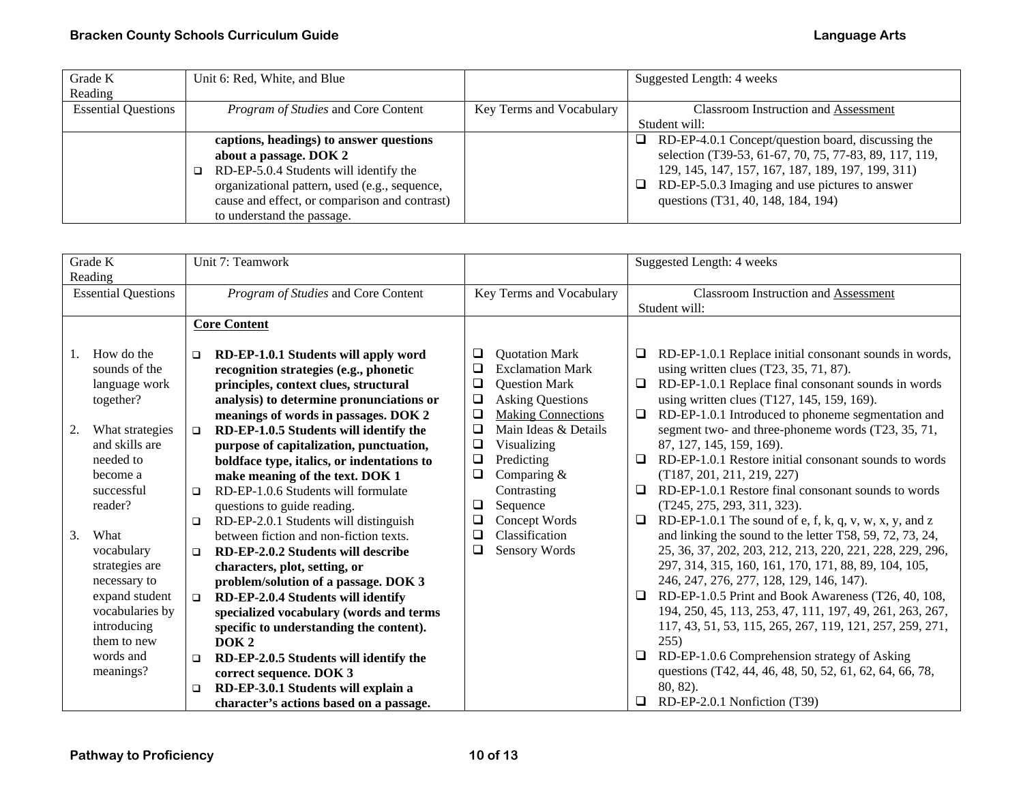| Grade K                    | Unit 6: Red, White, and Blue                  |                          | Suggested Length: 4 weeks                               |
|----------------------------|-----------------------------------------------|--------------------------|---------------------------------------------------------|
| Reading                    |                                               |                          |                                                         |
| <b>Essential Questions</b> | <i>Program of Studies</i> and Core Content    | Key Terms and Vocabulary | <b>Classroom Instruction and Assessment</b>             |
|                            |                                               |                          | Student will:                                           |
|                            | captions, headings) to answer questions       |                          | RD-EP-4.0.1 Concept/question board, discussing the<br>ப |
|                            | about a passage. DOK 2                        |                          | selection (T39-53, 61-67, 70, 75, 77-83, 89, 117, 119,  |
|                            | RD-EP-5.0.4 Students will identify the        |                          | 129, 145, 147, 157, 167, 187, 189, 197, 199, 311)       |
|                            | organizational pattern, used (e.g., sequence, |                          | RD-EP-5.0.3 Imaging and use pictures to answer<br>ப     |
|                            | cause and effect, or comparison and contrast) |                          | questions (T31, 40, 148, 184, 194)                      |
|                            | to understand the passage.                    |                          |                                                         |

| Grade K                    |  | Unit 7: Teamwork                                                |        |                           | Suggested Length: 4 weeks                   |                                                          |
|----------------------------|--|-----------------------------------------------------------------|--------|---------------------------|---------------------------------------------|----------------------------------------------------------|
| Reading                    |  |                                                                 |        |                           |                                             |                                                          |
| <b>Essential Questions</b> |  | Program of Studies and Core Content<br>Key Terms and Vocabulary |        |                           | <b>Classroom Instruction and Assessment</b> |                                                          |
|                            |  |                                                                 |        |                           |                                             | Student will:                                            |
|                            |  | <b>Core Content</b>                                             |        |                           |                                             |                                                          |
|                            |  |                                                                 |        |                           |                                             |                                                          |
| How do the<br>$1_{\cdot}$  |  | RD-EP-1.0.1 Students will apply word<br>$\Box$                  | ❏      | <b>Quotation Mark</b>     | □                                           | RD-EP-1.0.1 Replace initial consonant sounds in words,   |
| sounds of the              |  | recognition strategies (e.g., phonetic                          | □      | <b>Exclamation Mark</b>   |                                             | using written clues $(T23, 35, 71, 87)$ .                |
| language work              |  | principles, context clues, structural                           | $\Box$ | <b>Question Mark</b>      | $\Box$                                      | RD-EP-1.0.1 Replace final consonant sounds in words      |
| together?                  |  | analysis) to determine pronunciations or                        | $\Box$ | <b>Asking Questions</b>   |                                             | using written clues (T127, 145, 159, 169).               |
|                            |  | meanings of words in passages. DOK 2                            | $\Box$ | <b>Making Connections</b> | □                                           | RD-EP-1.0.1 Introduced to phoneme segmentation and       |
| 2.<br>What strategies      |  | RD-EP-1.0.5 Students will identify the<br>$\Box$                | $\Box$ | Main Ideas & Details      |                                             | segment two- and three-phoneme words (T23, 35, 71,       |
| and skills are             |  | purpose of capitalization, punctuation,                         | $\Box$ | Visualizing               |                                             | 87, 127, 145, 159, 169).                                 |
| needed to                  |  | boldface type, italics, or indentations to                      | ❏      | Predicting                | □                                           | RD-EP-1.0.1 Restore initial consonant sounds to words    |
| become a                   |  | make meaning of the text. DOK 1                                 | ❏      | Comparing $&$             |                                             | (T187, 201, 211, 219, 227)                               |
| successful                 |  | RD-EP-1.0.6 Students will formulate<br>$\Box$                   |        | Contrasting               | □                                           | RD-EP-1.0.1 Restore final consonant sounds to words      |
| reader?                    |  | questions to guide reading.                                     | ⊔      | Sequence                  |                                             | (T245, 275, 293, 311, 323).                              |
|                            |  | RD-EP-2.0.1 Students will distinguish<br>□                      | $\Box$ | Concept Words             | □                                           | RD-EP-1.0.1 The sound of e, f, k, q, v, w, x, y, and z   |
| 3.<br>What                 |  | between fiction and non-fiction texts.                          | ❏      | Classification            |                                             | and linking the sound to the letter T58, 59, 72, 73, 24, |
| vocabulary                 |  | RD-EP-2.0.2 Students will describe<br>$\Box$                    | ❏      | Sensory Words             |                                             | 25, 36, 37, 202, 203, 212, 213, 220, 221, 228, 229, 296, |
| strategies are             |  | characters, plot, setting, or                                   |        |                           |                                             | 297, 314, 315, 160, 161, 170, 171, 88, 89, 104, 105,     |
| necessary to               |  | problem/solution of a passage. DOK 3                            |        |                           |                                             | 246, 247, 276, 277, 128, 129, 146, 147).                 |
| expand student             |  | RD-EP-2.0.4 Students will identify<br>$\Box$                    |        |                           | ⊔                                           | RD-EP-1.0.5 Print and Book Awareness (T26, 40, 108,      |
| vocabularies by            |  | specialized vocabulary (words and terms                         |        |                           |                                             | 194, 250, 45, 113, 253, 47, 111, 197, 49, 261, 263, 267, |
| introducing                |  | specific to understanding the content).                         |        |                           |                                             | 117, 43, 51, 53, 115, 265, 267, 119, 121, 257, 259, 271, |
| them to new                |  | DOK <sub>2</sub>                                                |        |                           |                                             | 255)                                                     |
| words and                  |  | RD-EP-2.0.5 Students will identify the<br>□                     |        |                           | □                                           | RD-EP-1.0.6 Comprehension strategy of Asking             |
| meanings?                  |  | correct sequence. DOK 3                                         |        |                           |                                             | questions (T42, 44, 46, 48, 50, 52, 61, 62, 64, 66, 78,  |
|                            |  | RD-EP-3.0.1 Students will explain a<br>❏                        |        |                           |                                             | 80, 82).                                                 |
|                            |  | character's actions based on a passage.                         |        |                           | Q.                                          | RD-EP-2.0.1 Nonfiction (T39)                             |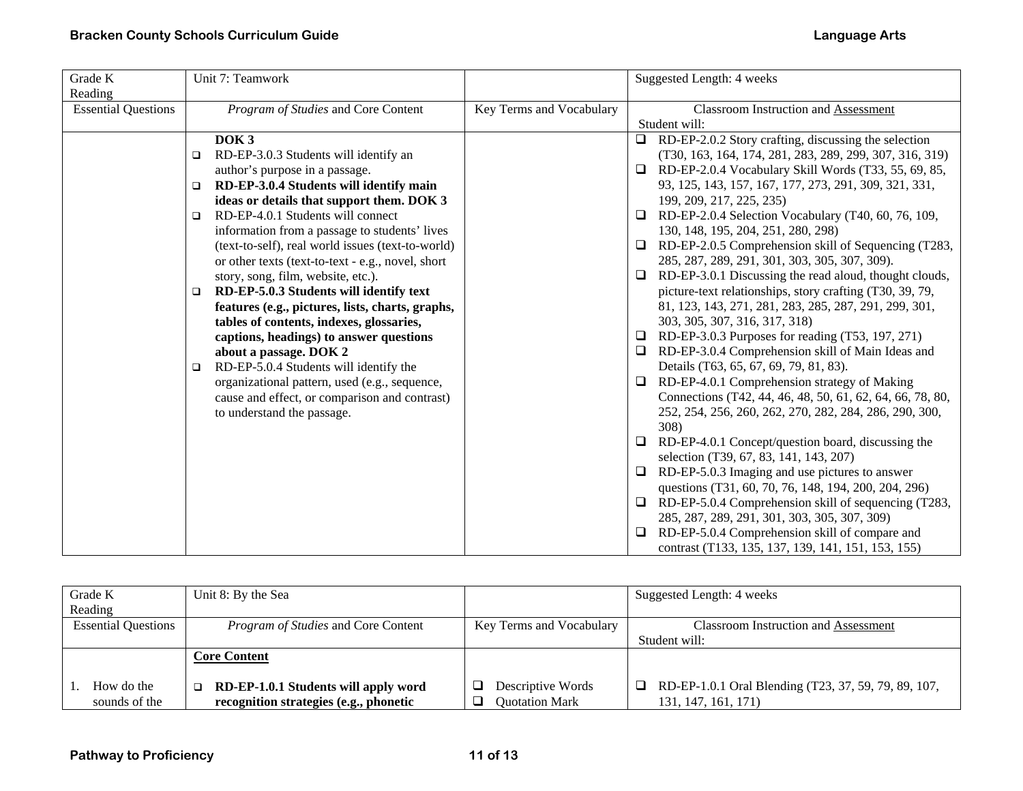| Grade K                    | Unit 7: Teamwork                                  |                          | Suggested Length: 4 weeks                                      |
|----------------------------|---------------------------------------------------|--------------------------|----------------------------------------------------------------|
| Reading                    |                                                   |                          |                                                                |
| <b>Essential Questions</b> | Program of Studies and Core Content               | Key Terms and Vocabulary | Classroom Instruction and Assessment                           |
|                            |                                                   |                          | Student will:                                                  |
|                            | DOK <sub>3</sub>                                  |                          | RD-EP-2.0.2 Story crafting, discussing the selection<br>ப      |
|                            | RD-EP-3.0.3 Students will identify an<br>$\Box$   |                          | (T30, 163, 164, 174, 281, 283, 289, 299, 307, 316, 319)        |
|                            | author's purpose in a passage.                    |                          | RD-EP-2.0.4 Vocabulary Skill Words (T33, 55, 69, 85,<br>$\Box$ |
|                            | RD-EP-3.0.4 Students will identify main<br>$\Box$ |                          | 93, 125, 143, 157, 167, 177, 273, 291, 309, 321, 331,          |
|                            | ideas or details that support them. DOK 3         |                          | 199, 209, 217, 225, 235)                                       |
|                            | RD-EP-4.0.1 Students will connect<br>$\Box$       |                          | RD-EP-2.0.4 Selection Vocabulary (T40, 60, 76, 109,<br>□       |
|                            | information from a passage to students' lives     |                          | 130, 148, 195, 204, 251, 280, 298)                             |
|                            | (text-to-self), real world issues (text-to-world) |                          | RD-EP-2.0.5 Comprehension skill of Sequencing (T283,<br>$\Box$ |
|                            | or other texts (text-to-text - e.g., novel, short |                          | 285, 287, 289, 291, 301, 303, 305, 307, 309).                  |
|                            | story, song, film, website, etc.).                |                          | RD-EP-3.0.1 Discussing the read aloud, thought clouds,<br>□    |
|                            | RD-EP-5.0.3 Students will identify text<br>$\Box$ |                          | picture-text relationships, story crafting (T30, 39, 79,       |
|                            | features (e.g., pictures, lists, charts, graphs,  |                          | 81, 123, 143, 271, 281, 283, 285, 287, 291, 299, 301,          |
|                            | tables of contents, indexes, glossaries,          |                          | 303, 305, 307, 316, 317, 318)                                  |
|                            | captions, headings) to answer questions           |                          | RD-EP-3.0.3 Purposes for reading (T53, 197, 271)<br>⊔          |
|                            | about a passage. DOK 2                            |                          | RD-EP-3.0.4 Comprehension skill of Main Ideas and<br>$\Box$    |
|                            | RD-EP-5.0.4 Students will identify the<br>□       |                          | Details (T63, 65, 67, 69, 79, 81, 83).                         |
|                            | organizational pattern, used (e.g., sequence,     |                          | RD-EP-4.0.1 Comprehension strategy of Making<br>$\Box$         |
|                            | cause and effect, or comparison and contrast)     |                          | Connections (T42, 44, 46, 48, 50, 61, 62, 64, 66, 78, 80,      |
|                            | to understand the passage.                        |                          | 252, 254, 256, 260, 262, 270, 282, 284, 286, 290, 300,         |
|                            |                                                   |                          | 308)                                                           |
|                            |                                                   |                          | RD-EP-4.0.1 Concept/question board, discussing the<br>$\Box$   |
|                            |                                                   |                          | selection (T39, 67, 83, 141, 143, 207)                         |
|                            |                                                   |                          | RD-EP-5.0.3 Imaging and use pictures to answer<br>⊔            |
|                            |                                                   |                          | questions (T31, 60, 70, 76, 148, 194, 200, 204, 296)           |
|                            |                                                   |                          | RD-EP-5.0.4 Comprehension skill of sequencing (T283,<br>□      |
|                            |                                                   |                          | 285, 287, 289, 291, 301, 303, 305, 307, 309)                   |
|                            |                                                   |                          | RD-EP-5.0.4 Comprehension skill of compare and<br>❏            |
|                            |                                                   |                          | contrast (T133, 135, 137, 139, 141, 151, 153, 155)             |

| Grade K                    | Unit 8: By the Sea                             |                          | Suggested Length: 4 weeks                                 |
|----------------------------|------------------------------------------------|--------------------------|-----------------------------------------------------------|
| Reading                    |                                                |                          |                                                           |
| <b>Essential Questions</b> | <i>Program of Studies</i> and Core Content     | Key Terms and Vocabulary | <b>Classroom Instruction and Assessment</b>               |
|                            |                                                |                          | Student will:                                             |
|                            | <b>Core Content</b>                            |                          |                                                           |
|                            |                                                |                          |                                                           |
| How do the                 | RD-EP-1.0.1 Students will apply word<br>$\Box$ | Descriptive Words        | RD-EP-1.0.1 Oral Blending (T23, 37, 59, 79, 89, 107,<br>□ |
| sounds of the              | recognition strategies (e.g., phonetic         | Quotation Mark           | 131, 147, 161, 171)                                       |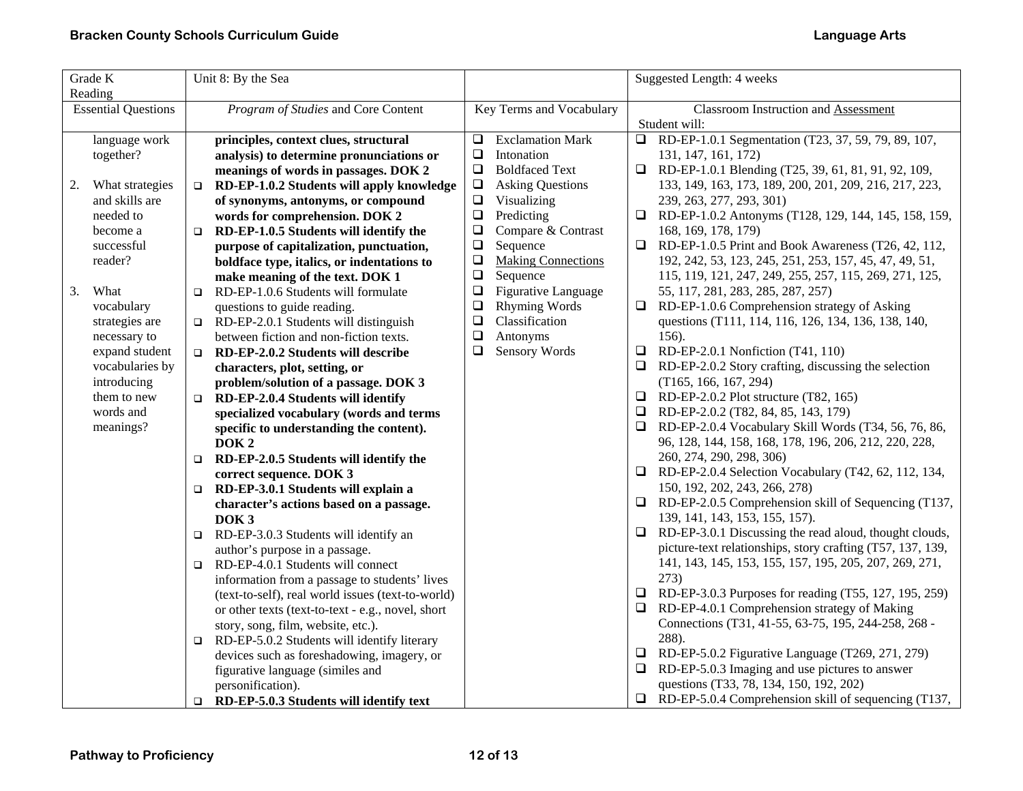| Grade K                    | Unit 8: By the Sea                                                                      |                                     | Suggested Length: 4 weeks                                                                                            |  |
|----------------------------|-----------------------------------------------------------------------------------------|-------------------------------------|----------------------------------------------------------------------------------------------------------------------|--|
| Reading                    |                                                                                         |                                     |                                                                                                                      |  |
| <b>Essential Questions</b> | Program of Studies and Core Content                                                     | Key Terms and Vocabulary            | <b>Classroom Instruction and Assessment</b><br>Student will:                                                         |  |
| language work              | principles, context clues, structural                                                   | <b>Exclamation Mark</b><br>❏        | RD-EP-1.0.1 Segmentation (T23, 37, 59, 79, 89, 107,<br>$\Box$                                                        |  |
| together?                  | analysis) to determine pronunciations or                                                | $\Box$<br>Intonation                | 131, 147, 161, 172)                                                                                                  |  |
|                            | meanings of words in passages. DOK 2                                                    | $\Box$<br><b>Boldfaced Text</b>     | RD-EP-1.0.1 Blending (T25, 39, 61, 81, 91, 92, 109,<br>$\Box$                                                        |  |
| What strategies<br>2.      | RD-EP-1.0.2 Students will apply knowledge<br>$\Box$                                     | $\Box$<br><b>Asking Questions</b>   | 133, 149, 163, 173, 189, 200, 201, 209, 216, 217, 223,                                                               |  |
| and skills are             | of synonyms, antonyms, or compound                                                      | $\Box$<br>Visualizing               | 239, 263, 277, 293, 301)                                                                                             |  |
| needed to                  | words for comprehension. DOK 2                                                          | $\Box$<br>Predicting                | RD-EP-1.0.2 Antonyms (T128, 129, 144, 145, 158, 159,<br>$\Box$                                                       |  |
| become a                   | RD-EP-1.0.5 Students will identify the<br>$\Box$                                        | Compare & Contrast<br>$\Box$        | 168, 169, 178, 179)                                                                                                  |  |
| successful                 | purpose of capitalization, punctuation,                                                 | $\Box$<br>Sequence                  | $\Box$<br>RD-EP-1.0.5 Print and Book Awareness (T26, 42, 112,                                                        |  |
| reader?                    | boldface type, italics, or indentations to                                              | $\Box$<br><b>Making Connections</b> | 192, 242, 53, 123, 245, 251, 253, 157, 45, 47, 49, 51,                                                               |  |
|                            | make meaning of the text. DOK 1                                                         | $\Box$<br>Sequence                  | 115, 119, 121, 247, 249, 255, 257, 115, 269, 271, 125,                                                               |  |
| What<br>3.                 | RD-EP-1.0.6 Students will formulate<br>$\Box$                                           | Figurative Language<br>$\Box$       | 55, 117, 281, 283, 285, 287, 257)                                                                                    |  |
| vocabulary                 | questions to guide reading.                                                             | $\Box$<br><b>Rhyming Words</b>      | $\Box$<br>RD-EP-1.0.6 Comprehension strategy of Asking                                                               |  |
| strategies are             | RD-EP-2.0.1 Students will distinguish<br>$\Box$                                         | $\Box$<br>Classification            | questions (T111, 114, 116, 126, 134, 136, 138, 140,                                                                  |  |
| necessary to               | between fiction and non-fiction texts.                                                  | $\Box$<br>Antonyms                  | 156).                                                                                                                |  |
| expand student             | RD-EP-2.0.2 Students will describe<br>$\Box$                                            | Sensory Words<br>❏                  | RD-EP-2.0.1 Nonfiction (T41, 110)<br>Q.                                                                              |  |
| vocabularies by            | characters, plot, setting, or                                                           |                                     | $\Box$ RD-EP-2.0.2 Story crafting, discussing the selection                                                          |  |
| introducing                | problem/solution of a passage. DOK 3                                                    |                                     | (T165, 166, 167, 294)                                                                                                |  |
| them to new                | RD-EP-2.0.4 Students will identify<br>$\Box$                                            |                                     | RD-EP-2.0.2 Plot structure (T82, 165)<br>□                                                                           |  |
| words and                  | specialized vocabulary (words and terms                                                 |                                     | RD-EP-2.0.2 (T82, 84, 85, 143, 179)                                                                                  |  |
| meanings?                  | specific to understanding the content).                                                 |                                     | □<br>RD-EP-2.0.4 Vocabulary Skill Words (T34, 56, 76, 86,                                                            |  |
|                            | DOK <sub>2</sub>                                                                        |                                     | 96, 128, 144, 158, 168, 178, 196, 206, 212, 220, 228,                                                                |  |
|                            | RD-EP-2.0.5 Students will identify the<br>$\Box$                                        |                                     | 260, 274, 290, 298, 306)                                                                                             |  |
|                            | correct sequence. DOK 3                                                                 |                                     | □<br>RD-EP-2.0.4 Selection Vocabulary (T42, 62, 112, 134,                                                            |  |
|                            | RD-EP-3.0.1 Students will explain a<br>$\Box$                                           |                                     | 150, 192, 202, 243, 266, 278)                                                                                        |  |
|                            | character's actions based on a passage.                                                 |                                     | RD-EP-2.0.5 Comprehension skill of Sequencing (T137,<br>u.                                                           |  |
|                            | DOK <sub>3</sub>                                                                        |                                     | 139, 141, 143, 153, 155, 157).                                                                                       |  |
|                            | RD-EP-3.0.3 Students will identify an<br>$\Box$                                         |                                     | RD-EP-3.0.1 Discussing the read aloud, thought clouds,<br>u.                                                         |  |
|                            | author's purpose in a passage.                                                          |                                     | picture-text relationships, story crafting (T57, 137, 139,<br>141, 143, 145, 153, 155, 157, 195, 205, 207, 269, 271, |  |
|                            | RD-EP-4.0.1 Students will connect<br>$\Box$                                             |                                     | 273)                                                                                                                 |  |
|                            | information from a passage to students' lives                                           |                                     | RD-EP-3.0.3 Purposes for reading (T55, 127, 195, 259)<br>$\Box$                                                      |  |
|                            | (text-to-self), real world issues (text-to-world)                                       |                                     | RD-EP-4.0.1 Comprehension strategy of Making<br>□                                                                    |  |
|                            | or other texts (text-to-text - e.g., novel, short<br>story, song, film, website, etc.). |                                     | Connections (T31, 41-55, 63-75, 195, 244-258, 268 -                                                                  |  |
|                            | RD-EP-5.0.2 Students will identify literary<br>$\Box$                                   |                                     | 288).                                                                                                                |  |
|                            | devices such as foreshadowing, imagery, or                                              |                                     | RD-EP-5.0.2 Figurative Language (T269, 271, 279)<br>□                                                                |  |
|                            | figurative language (similes and                                                        |                                     | RD-EP-5.0.3 Imaging and use pictures to answer<br>Q.                                                                 |  |
|                            | personification).                                                                       |                                     | questions (T33, 78, 134, 150, 192, 202)                                                                              |  |
|                            | RD-EP-5.0.3 Students will identify text<br>$\Box$                                       |                                     | $\Box$ RD-EP-5.0.4 Comprehension skill of sequencing (T137,                                                          |  |